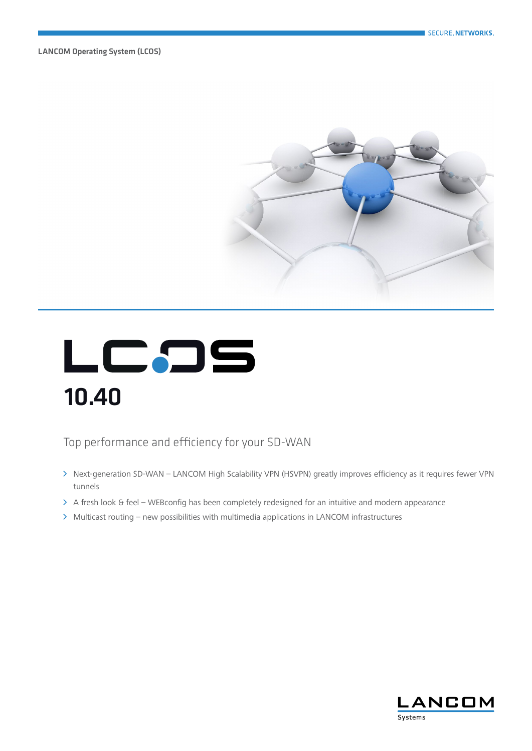LANCOM Operating System (LCOS)



# LCDS 10.40

Top performance and efficiency for your SD-WAN

- A Next-generation SD-WAN LANCOM High Scalability VPN (HSVPN) greatly improves efficiency as it requires fewer VPN tunnels
- $\triangleright$  A fresh look & feel WEBconfig has been completely redesigned for an intuitive and modern appearance
- > Multicast routing new possibilities with multimedia applications in LANCOM infrastructures

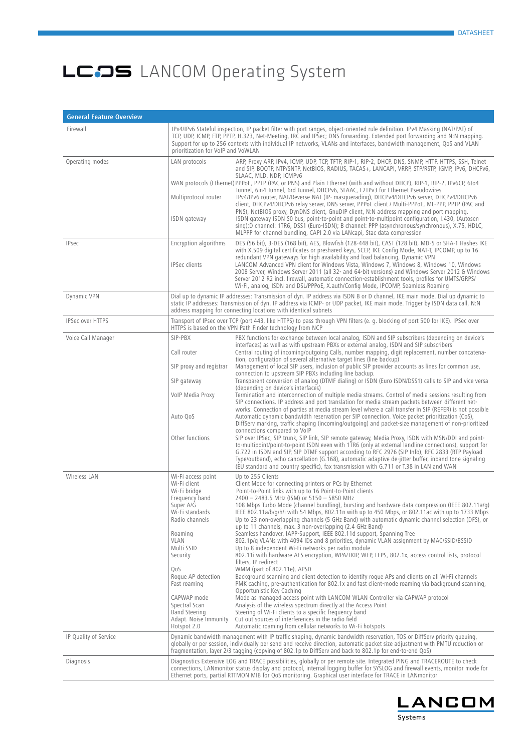| <b>General Feature Overview</b> |                                                                                                                                                                                                                                                                                                                  |                                                                                                                                                                                                                                                                                                                                                                                                                                                                                                                                                                                                                                                                                                                                                                                                                                                                                                                                                                                                                                                                                                                                                                                                                                                                                                                                                                                                                                                                                                                                                                                                                                                                                                                                                                         |
|---------------------------------|------------------------------------------------------------------------------------------------------------------------------------------------------------------------------------------------------------------------------------------------------------------------------------------------------------------|-------------------------------------------------------------------------------------------------------------------------------------------------------------------------------------------------------------------------------------------------------------------------------------------------------------------------------------------------------------------------------------------------------------------------------------------------------------------------------------------------------------------------------------------------------------------------------------------------------------------------------------------------------------------------------------------------------------------------------------------------------------------------------------------------------------------------------------------------------------------------------------------------------------------------------------------------------------------------------------------------------------------------------------------------------------------------------------------------------------------------------------------------------------------------------------------------------------------------------------------------------------------------------------------------------------------------------------------------------------------------------------------------------------------------------------------------------------------------------------------------------------------------------------------------------------------------------------------------------------------------------------------------------------------------------------------------------------------------------------------------------------------------|
| Firewall                        | prioritization for VoIP and VoWLAN                                                                                                                                                                                                                                                                               | IPv4/IPv6 Stateful inspection, IP packet filter with port ranges, object-oriented rule definition. IPv4 Masking (NAT/PAT) of<br>TCP, UDP, ICMP, FTP, PPTP, H.323, Net-Meeting, IRC and IPSec; DNS forwarding. Extended port forwarding and N:N mapping.<br>Support for up to 256 contexts with individual IP networks, VLANs and interfaces, bandwidth management, QoS and VLAN                                                                                                                                                                                                                                                                                                                                                                                                                                                                                                                                                                                                                                                                                                                                                                                                                                                                                                                                                                                                                                                                                                                                                                                                                                                                                                                                                                                         |
| Operating modes                 | LAN protocols<br>Multiprotocol router<br>ISDN gateway                                                                                                                                                                                                                                                            | ARP, Proxy ARP, IPv4, ICMP, UDP, TCP, TFTP, RIP-1, RIP-2, DHCP, DNS, SNMP, HTTP, HTTPS, SSH, Telnet<br>and SIP, BOOTP, NTP/SNTP, NetBIOS, RADIUS, TACAS+, LANCAPI, VRRP, STP/RSTP, IGMP, IPv6, DHCPv6,<br>SLAAC, MLD, NDP, ICMPv6<br>WAN protocols (Ethernet) PPPoE, PPTP (PAC or PNS) and Plain Ethernet (with and without DHCP), RIP-1, RIP-2, IPv6CP, 6to4<br>Tunnel, 6in4 Tunnel, 6rd Tunnel, DHCPv6, SLAAC, L2TPv3 for Ethernet Pseudowires<br>IPv4/IPv6 router, NAT/Reverse NAT (IP- masquerading), DHCPv4/DHCPv6 server, DHCPv4/DHCPv6<br>client, DHCPv4/DHCPv6 relay server, DNS server, PPPoE client / Multi-PPPoE, ML-PPP, PPTP (PAC and<br>PNS), NetBIOS proxy, DynDNS client, GnuDIP client, N:N address mapping and port mapping.<br>ISDN gateway ISDN S0 bus, point-to-point and point-to-multipoint configuration, I.430, (Autosen<br>sing);D channel: 1TR6, DSS1 (Euro-ISDN); B channel: PPP (asynchronous/synchronous), X.75, HDLC,<br>MLPPP for channel bundling, CAPI 2.0 via LANcapi, Stac data compression                                                                                                                                                                                                                                                                                                                                                                                                                                                                                                                                                                                                                                                                                                                                         |
| <b>IPsec</b>                    | Encryption algorithms<br><b>IPSec clients</b>                                                                                                                                                                                                                                                                    | DES (56 bit), 3-DES (168 bit), AES, Blowfish (128-448 bit), CAST (128 bit), MD-5 or SHA-1 Hashes IKE<br>with X.509 digital certificates or preshared keys, SCEP, IKE Config Mode, NAT-T, IPCOMP, up to 16<br>redundant VPN gateways for high availability and load balancing, Dynamic VPN<br>LANCOM Advanced VPN client for Windows Vista, Windows 7, Windows 8, Windows 10, Windows<br>2008 Server, Windows Server 2011 (all 32- and 64-bit versions) and Windows Server 2012 & Windows<br>Server 2012 R2 incl. firewall, automatic connection-establishment tools, profiles for UMTS/GRPS/<br>Wi-Fi, analog, ISDN and DSL/PPPoE, X.auth/Config Mode, IPCOMP, Seamless Roaming                                                                                                                                                                                                                                                                                                                                                                                                                                                                                                                                                                                                                                                                                                                                                                                                                                                                                                                                                                                                                                                                                         |
| Dynamic VPN                     |                                                                                                                                                                                                                                                                                                                  | Dial up to dynamic IP addresses: Transmission of dyn. IP address via ISDN B or D channel, IKE main mode. Dial up dynamic to<br>static IP addresses: Transmission of dyn. IP address via ICMP- or UDP packet, IKE main mode. Trigger by ISDN data call, N:N<br>address mapping for connecting locations with identical subnets                                                                                                                                                                                                                                                                                                                                                                                                                                                                                                                                                                                                                                                                                                                                                                                                                                                                                                                                                                                                                                                                                                                                                                                                                                                                                                                                                                                                                                           |
| IPSec over HTTPS                |                                                                                                                                                                                                                                                                                                                  | Transport of IPsec over TCP (port 443, like HTTPS) to pass through VPN filters (e. g. blocking of port 500 for IKE). IPSec over<br>HTTPS is based on the VPN Path Finder technology from NCP                                                                                                                                                                                                                                                                                                                                                                                                                                                                                                                                                                                                                                                                                                                                                                                                                                                                                                                                                                                                                                                                                                                                                                                                                                                                                                                                                                                                                                                                                                                                                                            |
| Voice Call Manager              | SIP-PBX<br>Call router<br>SIP proxy and registrar<br>SIP gateway<br>VoIP Media Proxy<br>Auto QoS<br>Other functions                                                                                                                                                                                              | PBX functions for exchange between local analog, ISDN and SIP subscribers (depending on device's<br>interfaces) as well as with upstream PBXs or external analog, ISDN and SIP subscribers<br>Central routing of incoming/outgoing Calls, number mapping, digit replacement, number concatena-<br>tion, configuration of several alternative target lines (line backup)<br>Management of local SIP users, inclusion of public SIP provider accounts as lines for common use,<br>connection to upstream SIP PBXs including line backup.<br>Transparent conversion of analog (DTMF dialing) or ISDN (Euro ISDN/DSS1) calls to SIP and vice versa<br>(depending on device's interfaces)<br>Termination and interconnection of multiple media streams. Control of media sessions resulting from<br>SIP connections. IP address and port translation for media stream packets between different net-<br>works. Connection of parties at media stream level where a call transfer in SIP (REFER) is not possible<br>Automatic dynamic bandwidth reservation per SIP connection. Voice packet prioritization (CoS),<br>DiffServ marking, traffic shaping (incoming/outgoing) and packet-size management of non-prioritized<br>connections compared to VoIP<br>SIP over IPSec, SIP trunk, SIP link, SIP remote gateway, Media Proxy, ISDN with MSN/DDI and point-<br>to-multipoint/point-to-point ISDN even with 1TR6 (only at external landline connections), support for<br>G.722 in ISDN and SIP, SIP DTMF support according to RFC 2976 (SIP Info), RFC 2833 (RTP Payload<br>Type/outband), echo cancellation (G.168), automatic adaptive de-jitter buffer, inband tone signaling<br>(EU standard and country specific), fax transmission with G.711 or T.38 in LAN and WAN |
| Wireless LAN                    | Wi-Fi access point<br>Wi-Fi client<br>Wi-Fi bridge<br>Frequency band<br>Super A/G<br>Wi-Fi standards<br>Radio channels<br>Roaming<br>VLAN<br>Multi SSID<br>Security<br>QoS<br>Roque AP detection<br>Fast roaming<br>CAPWAP mode<br>Spectral Scan<br><b>Band Steering</b><br>Adapt. Noise Immunity<br>Hotspot 2.0 | Up to 255 Clients<br>Client Mode for connecting printers or PCs by Ethernet<br>Point-to-Point links with up to 16 Point-to-Point clients<br>2400 - 2483.5 MHz (ISM) or 5150 - 5850 MHz<br>108 Mbps Turbo Mode (channel bundling), bursting and hardware data compression (IEEE 802.11a/g)<br>IEEE 802.11a/b/g/h/i with 54 Mbps, 802.11n with up to 450 Mbps, or 802.11ac with up to 1733 Mbps<br>Up to 23 non-overlapping channels (5 GHz Band) with automatic dynamic channel selection (DFS), or<br>up to 11 channels, max. 3 non-overlapping (2.4 GHz Band)<br>Seamless handover, IAPP-Support, IEEE 802.11d support, Spanning Tree<br>802.1p/g VLANs with 4094 IDs and 8 priorities, dynamic VLAN assignment by MAC/SSID/BSSID<br>Up to 8 independent Wi-Fi networks per radio module<br>802.11i with hardware AES encryption, WPA/TKIP, WEP, LEPS, 802.1x, access control lists, protocol<br>filters, IP redirect<br>WMM (part of 802.11e), APSD<br>Background scanning and client detection to identify rogue APs and clients on all Wi-Fi channels<br>PMK caching, pre-authentication for 802.1x and fast client-mode roaming via background scanning,<br>Opportunistic Key Caching<br>Mode as managed access point with LANCOM WLAN Controller via CAPWAP protocol<br>Analysis of the wireless spectrum directly at the Access Point<br>Steering of Wi-Fi clients to a specific frequency band<br>Cut out sources of interferences in the radio field<br>Automatic roaming from cellular networks to Wi-Fi hotspots                                                                                                                                                                                                                                             |
| IP Quality of Service           |                                                                                                                                                                                                                                                                                                                  | Dynamic bandwidth management with IP traffic shaping, dynamic bandwidth reservation, TOS or DiffServ priority queuing,<br>globally or per session, individually per send and receive direction, automatic packet size adjustment with PMTU reduction or<br>fragmentation, layer 2/3 tagging (copying of 802.1p to DiffServ and back to 802.1p for end-to-end QoS)                                                                                                                                                                                                                                                                                                                                                                                                                                                                                                                                                                                                                                                                                                                                                                                                                                                                                                                                                                                                                                                                                                                                                                                                                                                                                                                                                                                                       |
| Diagnosis                       |                                                                                                                                                                                                                                                                                                                  | Diagnostics Extensive LOG and TRACE possibilities, globally or per remote site. Integrated PING and TRACEROUTE to check<br>connections, LANmonitor status display and protocol, internal logging buffer for SYSLOG and firewall events, monitor mode for<br>Ethernet ports, partial RTTMON MIB for QoS monitoring. Graphical user interface for TRACE in LANmonitor                                                                                                                                                                                                                                                                                                                                                                                                                                                                                                                                                                                                                                                                                                                                                                                                                                                                                                                                                                                                                                                                                                                                                                                                                                                                                                                                                                                                     |

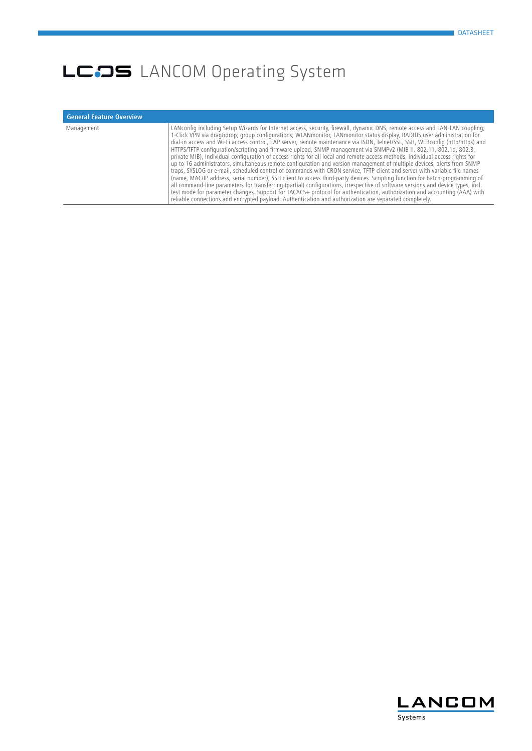| <b>General Feature Overview</b> |                                                                                                                                                                                                                                                                                                                                                                                                                                                                                                                                                                                                                                                                                                                                                                                                                                                                                                                                                                                                                                                                                                                                                                                                                                                                                                                                                                                                                  |
|---------------------------------|------------------------------------------------------------------------------------------------------------------------------------------------------------------------------------------------------------------------------------------------------------------------------------------------------------------------------------------------------------------------------------------------------------------------------------------------------------------------------------------------------------------------------------------------------------------------------------------------------------------------------------------------------------------------------------------------------------------------------------------------------------------------------------------------------------------------------------------------------------------------------------------------------------------------------------------------------------------------------------------------------------------------------------------------------------------------------------------------------------------------------------------------------------------------------------------------------------------------------------------------------------------------------------------------------------------------------------------------------------------------------------------------------------------|
| Management                      | LANconfig including Setup Wizards for Internet access, security, firewall, dynamic DNS, remote access and LAN-LAN coupling;<br>1-Click VPN via drag&drop group configurations; WLANmonitor, LANmonitor status display, RADIUS user administration for<br>dial-in access and Wi-Fi access control, EAP server, remote maintenance via ISDN, Telnet/SSL, SSH, WEBconfig (http/https) and<br>HTTPS/TFTP configuration/scripting and firmware upload, SNMP management via SNMPv2 (MIB II, 802.11, 802.1d, 802.3,<br>private MIB), Individual configuration of access rights for all local and remote access methods, individual access rights for<br>up to 16 administrators, simultaneous remote configuration and version management of multiple devices, alerts from SNMP<br>traps, SYSLOG or e-mail, scheduled control of commands with CRON service, TFTP client and server with variable file names<br>(name, MAC/IP address, serial number), SSH client to access third-party devices. Scripting function for batch-programming of<br>all command-line parameters for transferring (partial) configurations, irrespective of software versions and device types, incl.<br>test mode for parameter changes. Support for TACACS+ protocol for authentication, authorization and accounting (AAA) with<br>reliable connections and encrypted payload. Authentication and authorization are separated completely. |

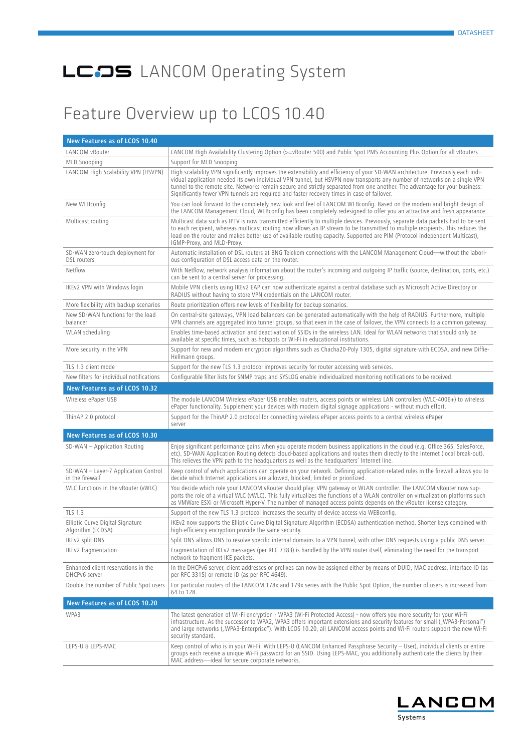#### Feature Overview up to LCOS 10.40

| New Features as of LCOS 10.40                           |                                                                                                                                                                                                                                                                                                                                                                                                                                                                                           |
|---------------------------------------------------------|-------------------------------------------------------------------------------------------------------------------------------------------------------------------------------------------------------------------------------------------------------------------------------------------------------------------------------------------------------------------------------------------------------------------------------------------------------------------------------------------|
| LANCOM vRouter                                          | LANCOM High Availability Clustering Option (>=vRouter 500) and Public Spot PMS Accounting Plus Option for all vRouters                                                                                                                                                                                                                                                                                                                                                                    |
| <b>MLD Snooping</b>                                     | Support for MLD Snooping                                                                                                                                                                                                                                                                                                                                                                                                                                                                  |
| LANCOM High Scalability VPN (HSVPN)                     | High scalability VPN significantly improves the extensibility and efficiency of your SD-WAN architecture. Previously each indi-<br>vidual application needed its own individual VPN tunnel, but HSVPN now transports any number of networks on a single VPN<br>tunnel to the remote site. Networks remain secure and strictly separated from one another. The advantage for your business:<br>Significantly fewer VPN tunnels are required and faster recovery times in case of failover. |
| New WEBconfig                                           | You can look forward to the completely new look and feel of LANCOM WEBconfig. Based on the modern and bright design of<br>the LANCOM Management Cloud, WEBconfig has been completely redesigned to offer you an attractive and fresh appearance.                                                                                                                                                                                                                                          |
| Multicast routing                                       | Multicast data such as IPTV is now transmitted efficiently to multiple devices. Previously, separate data packets had to be sent<br>to each recipient, whereas multicast routing now allows an IP stream to be transmitted to multiple recipients. This reduces the<br>load on the router and makes better use of available routing capacity. Supported are PIM (Protocol Independent Multicast),<br>IGMP-Proxy, and MLD-Proxy.                                                           |
| SD-WAN zero-touch deployment for<br><b>DSL</b> routers  | Automatic installation of DSL routers at BNG Telekom connections with the LANCOM Management Cloud-without the labori-<br>ous configuration of DSL access data on the router.                                                                                                                                                                                                                                                                                                              |
| Netflow                                                 | With Netflow, network analysis information about the router's incoming and outgoing IP traffic (source, destination, ports, etc.)<br>can be sent to a central server for processing.                                                                                                                                                                                                                                                                                                      |
| IKEv2 VPN with Windows login                            | Mobile VPN clients using IKEv2 EAP can now authenticate against a central database such as Microsoft Active Directory or<br>RADIUS without having to store VPN credentials on the LANCOM router.                                                                                                                                                                                                                                                                                          |
| More flexibility with backup scenarios                  | Route prioritization offers new levels of flexibility for backup scenarios.                                                                                                                                                                                                                                                                                                                                                                                                               |
| New SD-WAN functions for the load<br>balancer           | On central-site gateways, VPN load balancers can be generated automatically with the help of RADIUS. Furthermore, multiple<br>VPN channels are aggregated into tunnel groups, so that even in the case of failover, the VPN connects to a common gateway.                                                                                                                                                                                                                                 |
| WLAN scheduling                                         | Enables time-based activation and deactivation of SSIDs in the wireless LAN. Ideal for WLAN networks that should only be<br>available at specific times, such as hotspots or Wi-Fi in educational institutions.                                                                                                                                                                                                                                                                           |
| More security in the VPN                                | Support for new and modern encryption algorithms such as Chacha20-Poly 1305, digital signature with ECDSA, and new Diffie-<br>Hellmann groups.                                                                                                                                                                                                                                                                                                                                            |
| TLS 1.3 client mode                                     | Support for the new TLS 1.3 protocol improves security for router accessing web services.                                                                                                                                                                                                                                                                                                                                                                                                 |
| New filters for individual notifications                | Configurable filter lists for SNMP traps and SYSLOG enable individualized monitoring notifications to be received.                                                                                                                                                                                                                                                                                                                                                                        |
| New Features as of LCOS 10.32                           |                                                                                                                                                                                                                                                                                                                                                                                                                                                                                           |
| Wireless ePaper USB                                     | The module LANCOM Wireless ePaper USB enables routers, access points or wireless LAN controllers (WLC-4006+) to wireless<br>ePaper functionality. Supplement your devices with modern digital signage applications - without much effort.                                                                                                                                                                                                                                                 |
| ThinAP 2.0 protocol                                     | Support for the ThinAP 2.0 protocol for connecting wireless ePaper access points to a central wireless ePaper<br>server                                                                                                                                                                                                                                                                                                                                                                   |
| New Features as of LCOS 10.30                           |                                                                                                                                                                                                                                                                                                                                                                                                                                                                                           |
| $SD-WAN - Application Routing$                          | Enjoy significant performance gains when you operate modern business applications in the cloud (e.g. Office 365, SalesForce,<br>etc). SD-WAN Application Routing detects cloud-based applications and routes them directly to the Internet (local break-out).<br>This relieves the VPN path to the headquarters as well as the headquarters' Internet line.                                                                                                                               |
| SD-WAN - Layer-7 Application Control<br>in the firewall | Keep control of which applications can operate on your network. Defining application-related rules in the firewall allows you to<br>decide which Internet applications are allowed, blocked, limited or prioritized.                                                                                                                                                                                                                                                                      |
| WLC functions in the vRouter (vWLC)                     | You decide which role your LANCOM vRouter should play: VPN gateway or WLAN controller. The LANCOM vRouter now sup-<br>ports the role of a virtual WLC (vWLC). This fully virtualizes the functions of a WLAN controller on virtualization platforms such<br>as VMWare ESXi or Microsoft Hyper-V. The number of managed access points depends on the vRouter license category.                                                                                                             |
| <b>TLS 1.3</b>                                          | Support of the new TLS 1.3 protocol increases the security of device access via WEBconfig.                                                                                                                                                                                                                                                                                                                                                                                                |
| Elliptic Curve Digital Signature<br>Algorithm (ECDSA)   | IKEv2 now supports the Elliptic Curve Digital Signature Algorithm (ECDSA) authentication method. Shorter keys combined with<br>high-efficiency encryption provide the same security.                                                                                                                                                                                                                                                                                                      |
| IKEv2 split DNS                                         | Split DNS allows DNS to resolve specific internal domains to a VPN tunnel, with other DNS requests using a public DNS server.                                                                                                                                                                                                                                                                                                                                                             |
| IKEv2 fragmentation                                     | Fragmentation of IKEv2 messages (per RFC 7383) is handled by the VPN router itself, eliminating the need for the transport<br>network to fragment IKE packets.                                                                                                                                                                                                                                                                                                                            |
| Enhanced client reservations in the<br>DHCPv6 server    | In the DHCPv6 server, client addresses or prefixes can now be assigned either by means of DUID, MAC address, interface ID (as<br>per RFC 3315) or remote ID (as per RFC 4649).                                                                                                                                                                                                                                                                                                            |
| Double the number of Public Spot users                  | For particular routers of the LANCOM 178x and 179x series with the Public Spot Option, the number of users is increased from<br>64 to 128.                                                                                                                                                                                                                                                                                                                                                |
| New Features as of LCOS 10.20                           |                                                                                                                                                                                                                                                                                                                                                                                                                                                                                           |
| WPA3                                                    | The latest generation of Wi-Fi encryption - WPA3 (Wi-Fi Protected Access) - now offers you more security for your Wi-Fi<br>infrastructure. As the successor to WPA2, WPA3 offers important extensions and security features for small ("WPA3-Personal")<br>and large networks ("WPA3-Enterprise"). With LCOS 10.20, all LANCOM access points and Wi-Fi routers support the new Wi-Fi<br>security standard.                                                                                |
| LEPS-U & LEPS-MAC                                       | Keep control of who is in your Wi-Fi. With LEPS-U (LANCOM Enhanced Passphrase Security – User), individual clients or entire<br>groups each receive a unique Wi-Fi password for an SSID. Using LEPS-MAC, you additionally authenticate the clients by their<br>MAC address-ideal for secure corporate networks.                                                                                                                                                                           |

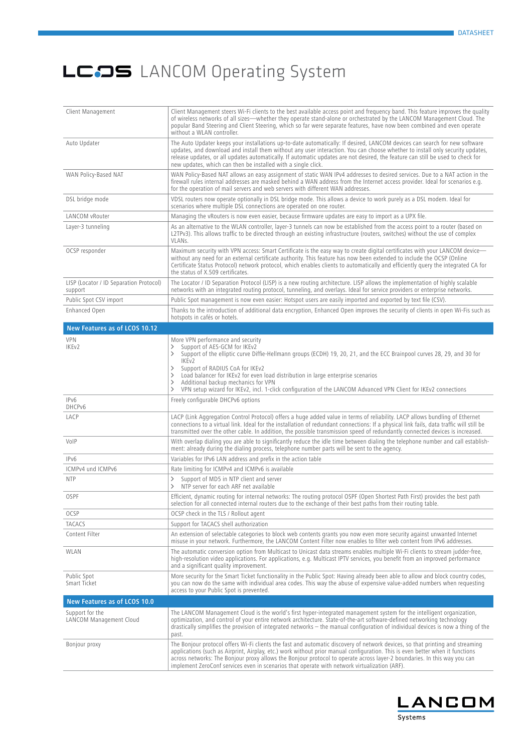| Client Management                                  | Client Management steers Wi-Fi clients to the best available access point and frequency band. This feature improves the quality<br>of wireless networks of all sizes—whether they operate stand-alone or orchestrated by the LANCOM Management Cloud. The<br>popular Band Steering and Client Steering, which so far were separate features, have now been combined and even operate<br>without a WLAN controller.                                                                                                                                                                                          |
|----------------------------------------------------|-------------------------------------------------------------------------------------------------------------------------------------------------------------------------------------------------------------------------------------------------------------------------------------------------------------------------------------------------------------------------------------------------------------------------------------------------------------------------------------------------------------------------------------------------------------------------------------------------------------|
| Auto Updater                                       | The Auto Updater keeps your installations up-to-date automatically: If desired, LANCOM devices can search for new software<br>updates, and download and install them without any user interaction. You can choose whether to install only security updates,<br>release updates, or all updates automatically. If automatic updates are not desired, the feature can still be used to check for<br>new updates, which can then be installed with a single click.                                                                                                                                             |
| WAN Policy-Based NAT                               | WAN Policy-Based NAT allows an easy assignment of static WAN IPv4 addresses to desired services. Due to a NAT action in the<br>firewall rules internal addresses are masked behind a WAN address from the Internet access provider. Ideal for scenarios e.g.<br>for the operation of mail servers and web servers with different WAN addresses.                                                                                                                                                                                                                                                             |
| DSL bridge mode                                    | VDSL routers now operate optionally in DSL bridge mode. This allows a device to work purely as a DSL modem. Ideal for<br>scenarios where multiple DSL connections are operated on one router.                                                                                                                                                                                                                                                                                                                                                                                                               |
| LANCOM vRouter                                     | Managing the vRouters is now even easier, because firmware updates are easy to import as a UPX file.                                                                                                                                                                                                                                                                                                                                                                                                                                                                                                        |
| Layer-3 tunneling                                  | As an alternative to the WLAN controller, layer-3 tunnels can now be established from the access point to a router (based on<br>L2TPv3). This allows traffic to be directed through an existing infrastructure (routers, switches) without the use of complex<br>VLANs.                                                                                                                                                                                                                                                                                                                                     |
| OCSP responder                                     | Maximum security with VPN access: Smart Certificate is the easy way to create digital certificates with your LANCOM device-<br>without any need for an external certificate authority. This feature has now been extended to include the OCSP (Online<br>Certificate Status Protocol) network protocol, which enables clients to automatically and efficiently query the integrated CA for<br>the status of X.509 certificates.                                                                                                                                                                             |
| LISP (Locator / ID Separation Protocol)<br>support | The Locator / ID Separation Protocol (LISP) is a new routing architecture. LISP allows the implementation of highly scalable<br>networks with an integrated routing protocol, tunneling, and overlays. Ideal for service providers or enterprise networks.                                                                                                                                                                                                                                                                                                                                                  |
| Public Spot CSV import                             | Public Spot management is now even easier: Hotspot users are easily imported and exported by text file (CSV).                                                                                                                                                                                                                                                                                                                                                                                                                                                                                               |
| Enhanced Open                                      | Thanks to the introduction of additional data encryption, Enhanced Open improves the security of clients in open Wi-Fis such as<br>hotspots in cafés or hotels.                                                                                                                                                                                                                                                                                                                                                                                                                                             |
| New Features as of LCOS 10.12                      |                                                                                                                                                                                                                                                                                                                                                                                                                                                                                                                                                                                                             |
| VPN<br>IKEv2                                       | More VPN performance and security<br>Support of AES-GCM for IKEv2<br>$\rightarrow$<br>Support of the elliptic curve Diffie-Hellmann groups (ECDH) 19, 20, 21, and the ECC Brainpool curves 28, 29, and 30 for<br>$\rightarrow$<br>IKE <sub>v2</sub><br>Support of RADIUS CoA for IKEv2<br>$\rightarrow$<br>Load balancer for IKEv2 for even load distribution in large enterprise scenarios<br>$\rightarrow$<br>Additional backup mechanics for VPN<br>ゝ<br>VPN setup wizard for IKEv2, incl. 1-click configuration of the LANCOM Advanced VPN Client for IKEv2 connections<br>$\left\langle \right\rangle$ |
| IPv6<br>DHCPv6                                     | Freely configurable DHCPv6 options                                                                                                                                                                                                                                                                                                                                                                                                                                                                                                                                                                          |
| LACP                                               | LACP (Link Aggregation Control Protocol) offers a huge added value in terms of reliability. LACP allows bundling of Ethernet<br>connections to a virtual link. Ideal for the installation of redundant connections: If a physical link fails, data traffic will still be<br>transmitted over the other cable. In addition, the possible transmission speed of redundantly connected devices is increased.                                                                                                                                                                                                   |
| VolP                                               | With overlap dialing you are able to significantly reduce the idle time between dialing the telephone number and call establish-<br>ment: already during the dialing process, telephone number parts will be sent to the agency.                                                                                                                                                                                                                                                                                                                                                                            |
| IPv6                                               | Variables for IPv6 LAN address and prefix in the action table                                                                                                                                                                                                                                                                                                                                                                                                                                                                                                                                               |
| ICMPv4 und ICMPv6                                  | Rate limiting for ICMPv4 and ICMPv6 is available                                                                                                                                                                                                                                                                                                                                                                                                                                                                                                                                                            |
| <b>NTP</b>                                         | Support of MD5 in NTP client and server<br>$\rightarrow$<br>NTP server for each ARF net available<br>$\left\langle \right\rangle$                                                                                                                                                                                                                                                                                                                                                                                                                                                                           |
| <b>OSPF</b>                                        | Efficient, dynamic routing for internal networks: The routing protocol OSPF (Open Shortest Path First) provides the best path<br>selection for all connected internal routers due to the exchange of their best paths from their routing table.                                                                                                                                                                                                                                                                                                                                                             |
| OCSP                                               | OCSP check in the TLS / Rollout agent                                                                                                                                                                                                                                                                                                                                                                                                                                                                                                                                                                       |
| <b>TACACS</b>                                      | Support for TACACS shell authorization                                                                                                                                                                                                                                                                                                                                                                                                                                                                                                                                                                      |
| Content Filter                                     | An extension of selectable categories to block web contents grants you now even more security against unwanted Internet<br>misuse in your network. Furthermore, the LANCOM Content Filter now enables to filter web content from IPv6 addresses.                                                                                                                                                                                                                                                                                                                                                            |
| WLAN                                               | The automatic conversion option from Multicast to Unicast data streams enables multiple Wi-Fi clients to stream judder-free,<br>high-resolution video applications. For applications, e.g. Multicast IPTV services, you benefit from an improved performance<br>and a significant quality improvement.                                                                                                                                                                                                                                                                                                      |
| Public Spot<br>Smart Ticket                        | More security for the Smart Ticket functionality in the Public Spot: Having already been able to allow and block country codes,<br>you can now do the same with individual area codes. This way the abuse of expensive value-added numbers when requesting<br>access to your Public Spot is prevented.                                                                                                                                                                                                                                                                                                      |
| New Features as of LCOS 10.0                       |                                                                                                                                                                                                                                                                                                                                                                                                                                                                                                                                                                                                             |
| Support for the<br>LANCOM Management Cloud         | The LANCOM Management Cloud is the world's first hyper-integrated management system for the intelligent organization,<br>optimization, and control of your entire network architecture. State-of-the-art software-defined networking technology<br>drastically simplifies the provision of integrated networks $-$ the manual configuration of individual devices is now a thing of the<br>past.                                                                                                                                                                                                            |
| Bonjour proxy                                      | The Bonjour protocol offers Wi-Fi clients the fast and automatic discovery of network devices, so that printing and streaming<br>applications (such as Airprint, Airplay, etc.) work without prior manual configuration. This is even better when it functions<br>across networks: The Bonjour proxy allows the Bonjour protocol to operate across layer-2 boundaries. In this way you can<br>implement ZeroConf services even in scenarios that operate with network virtualization (ARF).                                                                                                                 |

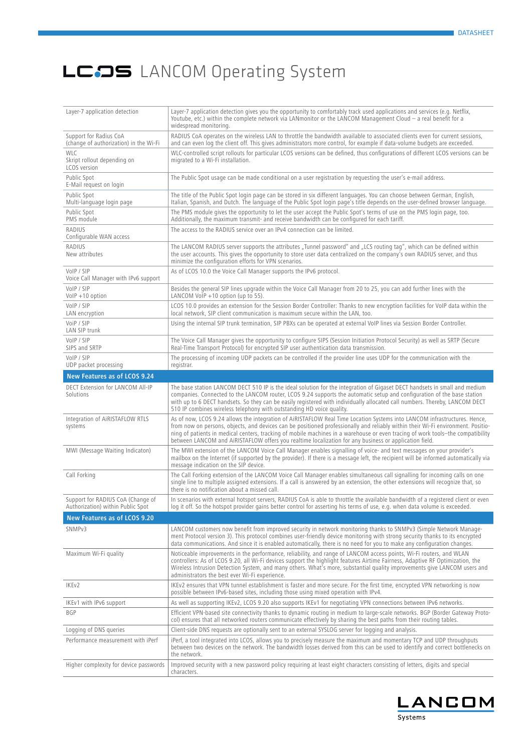| Layer-7 application detection                                          | Layer-7 application detection gives you the opportunity to comfortably track used applications and services (e.g. Netflix,<br>Youtube, etc.) within the complete network via LANmonitor or the LANCOM Management Cloud - a real benefit for a<br>widespread monitoring.                                                                                                                                                                                                                                    |
|------------------------------------------------------------------------|------------------------------------------------------------------------------------------------------------------------------------------------------------------------------------------------------------------------------------------------------------------------------------------------------------------------------------------------------------------------------------------------------------------------------------------------------------------------------------------------------------|
| Support for Radius CoA<br>(change of authorization) in the Wi-Fi       | RADIUS CoA operates on the wireless LAN to throttle the bandwidth available to associated clients even for current sessions,<br>and can even log the client off. This gives administrators more control, for example if data-volume budgets are exceeded.                                                                                                                                                                                                                                                  |
| <b>WLC</b><br>Skript rollout depending on<br>LCOS version              | WLC-controlled script rollouts for particular LCOS versions can be defined, thus configurations of different LCOS versions can be<br>migrated to a Wi-Fi installation.                                                                                                                                                                                                                                                                                                                                     |
| Public Spot<br>E-Mail request on login                                 | The Public Spot usage can be made conditional on a user registration by requesting the user's e-mail address.                                                                                                                                                                                                                                                                                                                                                                                              |
| Public Spot<br>Multi-language login page                               | The title of the Public Spot login page can be stored in six different languages. You can choose between German, English,<br>Italian, Spanish, and Dutch. The language of the Public Spot login page's title depends on the user-defined browser language.                                                                                                                                                                                                                                                 |
| Public Spot<br>PMS module                                              | The PMS module gives the opportunity to let the user accept the Public Spot's terms of use on the PMS login page, too.<br>Additionally, the maximum transmit- and receive bandwidth can be configured for each tariff.                                                                                                                                                                                                                                                                                     |
| RADIUS<br>Configurable WAN access                                      | The access to the RADIUS service over an IPv4 connection can be limited.                                                                                                                                                                                                                                                                                                                                                                                                                                   |
| RADIUS<br>New attributes                                               | The LANCOM RADIUS server supports the attributes "Tunnel password" and "LCS routing tag", which can be defined within<br>the user accounts. This gives the opportunity to store user data centralized on the company's own RADIUS server, and thus<br>minimize the configuration efforts for VPN scenarios.                                                                                                                                                                                                |
| VoIP / SIP<br>Voice Call Manager with IPv6 support                     | As of LCOS 10.0 the Voice Call Manager supports the IPv6 protocol.                                                                                                                                                                                                                                                                                                                                                                                                                                         |
| VoIP / SIP<br>$VolP + 10$ option                                       | Besides the general SIP lines upgrade within the Voice Call Manager from 20 to 25, you can add further lines with the<br>LANCOM VoIP $+10$ option (up to 55).                                                                                                                                                                                                                                                                                                                                              |
| VoIP / SIP<br>LAN encryption                                           | LCOS 10.0 provides an extension for the Session Border Controller: Thanks to new encryption facilities for VoIP data within the<br>local network, SIP client communication is maximum secure within the LAN, too.                                                                                                                                                                                                                                                                                          |
| VoiP / SIP<br>LAN SIP trunk                                            | Using the internal SIP trunk termination, SIP PBXs can be operated at external VoIP lines via Session Border Controller.                                                                                                                                                                                                                                                                                                                                                                                   |
| VoIP / SIP<br>SIPS and SRTP                                            | The Voice Call Manager gives the opportunity to configure SIPS (Session Initiation Protocol Security) as well as SRTP (Secure<br>Real-Time Transport Protocol) for encrypted SIP user authentication data transmission.                                                                                                                                                                                                                                                                                    |
| VoIP / SIP<br>UDP packet processing                                    | The processing of incoming UDP packets can be controlled if the provider line uses UDP for the communication with the<br>registrar.                                                                                                                                                                                                                                                                                                                                                                        |
| New Features as of LCOS 9.24                                           |                                                                                                                                                                                                                                                                                                                                                                                                                                                                                                            |
| DECT Extension for LANCOM All-IP<br>Solutions                          | The base station LANCOM DECT 510 IP is the ideal solution for the integration of Gigaset DECT handsets in small and medium<br>companies. Connected to the LANCOM router, LCOS 9.24 supports the automatic setup and configuration of the base station<br>with up to 6 DECT handsets. So they can be easily registered with individually allocated call numbers. Thereby, LANCOM DECT<br>510 IP combines wireless telephony with outstanding HD voice quality.                                              |
| Integration of AIRISTAFLOW RTLS<br>systems                             | As of now, LCOS 9.24 allows the integration of AiRISTAFLOW Real Time Location Systems into LANCOM infrastructures. Hence,<br>from now on persons, objects, and devices can be positioned professionally and reliably within their Wi-Fi environment. Positio-<br>ning of patients in medical centers, tracking of mobile machines in a warehouse or even tracing of work tools-the compatibility<br>between LANCOM and AIRISTAFLOW offers you realtime localization for any business or application field. |
| MWI (Message Waiting Indicaton)                                        | The MWI extension of the LANCOM Voice Call Manager enables signalling of voice- and text messages on your provider's<br>mailbox on the Internet (if supported by the provider). If there is a message left, the recipient will be informed automatically via<br>message indication on the SIP device.                                                                                                                                                                                                      |
| Call Forking                                                           | The Call Forking extension of the LANCOM Voice Call Manager enables simultaneous call signalling for incoming calls on one<br>single line to multiple assigned extensions. If a call is answered by an extension, the other extensions will recognize that, so<br>there is no notification about a missed call.                                                                                                                                                                                            |
| Support for RADIUS CoA (Change of<br>Authorization) within Public Spot | In scenarios with external hotspot servers, RADIUS CoA is able to throttle the available bandwidth of a registered client or even<br>log it off. So the hotspot provider gains better control for asserting his terms of use, e.g. when data volume is exceeded.                                                                                                                                                                                                                                           |
| New Features as of LCOS 9.20                                           |                                                                                                                                                                                                                                                                                                                                                                                                                                                                                                            |
| SNMPv3                                                                 | LANCOM customers now benefit from improved security in network monitoring thanks to SNMPv3 (Simple Network Manage-<br>ment Protocol version 3). This protocol combines user-friendly device monitoring with strong security thanks to its encrypted<br>data communications. And since it is enabled automatically, there is no need for you to make any configuration changes.                                                                                                                             |
| Maximum Wi-Fi quality                                                  | Noticeable improvements in the performance, reliability, and range of LANCOM access points, Wi-Fi routers, and WLAN<br>controllers: As of LCOS 9.20, all Wi-Fi devices support the highlight features Airtime Fairness, Adaptive RF Optimization, the<br>Wireless Intrusion Detection System, and many others. What's more, substantial quality improvements give LANCOM users and<br>administrators the best ever Wi-Fi experience.                                                                       |
| IKEv2                                                                  | IKEv2 ensures that VPN tunnel establishment is faster and more secure. For the first time, encrypted VPN networking is now<br>possible between IPv6-based sites, including those using mixed operation with IPv4.                                                                                                                                                                                                                                                                                          |
| IKEv1 with IPv6 support                                                | As well as supporting IKEv2, LCOS 9.20 also supports IKEv1 for negotiating VPN connections between IPv6 networks.                                                                                                                                                                                                                                                                                                                                                                                          |
| BGP                                                                    | Efficient VPN-based site connectivity thanks to dynamic routing in medium to large-scale networks. BGP (Border Gateway Proto-<br>col) ensures that all networked routers communicate effectively by sharing the best paths from their routing tables.                                                                                                                                                                                                                                                      |
| Logging of DNS queries                                                 | Client-side DNS requests are optionally sent to an external SYSLOG server for logging and analysis.                                                                                                                                                                                                                                                                                                                                                                                                        |
| Performance measurement with iPerf                                     | iPerf, a tool integrated into LCOS, allows you to precisely measure the maximum and momentary TCP and UDP throughputs<br>between two devices on the network. The bandwidth losses derived from this can be used to identify and correct bottlenecks on<br>the network.                                                                                                                                                                                                                                     |
| Higher complexity for device passwords                                 | Improved security with a new password policy requiring at least eight characters consisting of letters, digits and special<br>characters.                                                                                                                                                                                                                                                                                                                                                                  |

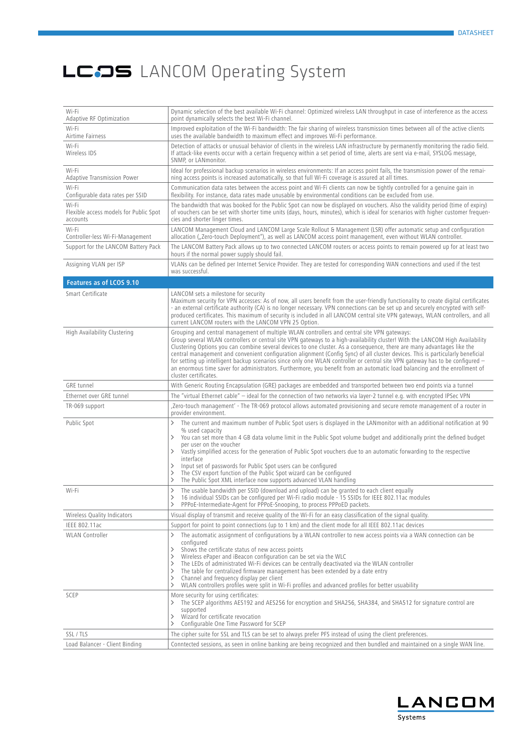| Wi-Fi<br>Adaptive RF Optimization                           | Dynamic selection of the best available Wi-Fi channel: Optimized wireless LAN throughput in case of interference as the access<br>point dynamically selects the best Wi-Fi channel.                                                                                                                                                                                                                                                                                                                                                                                                                                                                                                                                                                                                |
|-------------------------------------------------------------|------------------------------------------------------------------------------------------------------------------------------------------------------------------------------------------------------------------------------------------------------------------------------------------------------------------------------------------------------------------------------------------------------------------------------------------------------------------------------------------------------------------------------------------------------------------------------------------------------------------------------------------------------------------------------------------------------------------------------------------------------------------------------------|
| Wi-Fi<br>Airtime Fairness                                   | Improved exploitation of the Wi-Fi bandwidth: The fair sharing of wireless transmission times between all of the active clients<br>uses the available bandwidth to maximum effect and improves Wi-Fi performance.                                                                                                                                                                                                                                                                                                                                                                                                                                                                                                                                                                  |
| Wi-Fi<br>Wireless IDS                                       | Detection of attacks or unusual behavior of clients in the wireless LAN infrastructure by permanently monitoring the radio field.<br>If attack-like events occur with a certain frequency within a set period of time, alerts are sent via e-mail, SYSLOG message,<br>SNMP, or LANmonitor.                                                                                                                                                                                                                                                                                                                                                                                                                                                                                         |
| Wi-Fi<br><b>Adaptive Transmission Power</b>                 | Ideal for professional backup scenarios in wireless environments: If an access point fails, the transmission power of the remai-<br>ning access points is increased automatically, so that full Wi-Fi coverage is assured at all times.                                                                                                                                                                                                                                                                                                                                                                                                                                                                                                                                            |
| Wi-Fi<br>Configurable data rates per SSID                   | Communication data rates between the access point and Wi-Fi clients can now be tightly controlled for a genuine gain in<br>flexibility. For instance, data rates made unusable by environmental conditions can be excluded from use.                                                                                                                                                                                                                                                                                                                                                                                                                                                                                                                                               |
| Wi-Fi<br>Flexible access models for Public Spot<br>accounts | The bandwidth that was booked for the Public Spot can now be displayed on vouchers. Also the validity period (time of expiry)<br>of vouchers can be set with shorter time units (days, hours, minutes), which is ideal for scenarios with higher customer frequen-<br>cies and shorter linger times.                                                                                                                                                                                                                                                                                                                                                                                                                                                                               |
| Wi-Fi<br>Controller-less Wi-Fi-Management                   | LANCOM Management Cloud and LANCOM Large Scale Rollout & Management (LSR) offer automatic setup and configuration<br>allocation ("Zero-touch Deployment"), as well as LANCOM access point management, even without WLAN controller.                                                                                                                                                                                                                                                                                                                                                                                                                                                                                                                                                |
| Support for the LANCOM Battery Pack                         | The LANCOM Battery Pack allows up to two connected LANCOM routers or access points to remain powered up for at least two<br>hours if the normal power supply should fail.                                                                                                                                                                                                                                                                                                                                                                                                                                                                                                                                                                                                          |
| Assigning VLAN per ISP                                      | VLANs can be defined per Internet Service Provider. They are tested for corresponding WAN connections and used if the test<br>was successful.                                                                                                                                                                                                                                                                                                                                                                                                                                                                                                                                                                                                                                      |
| Features as of LCOS 9.10                                    |                                                                                                                                                                                                                                                                                                                                                                                                                                                                                                                                                                                                                                                                                                                                                                                    |
| Smart Certificate                                           | LANCOM sets a milestone for security<br>Maximum security for VPN accesses: As of now, all users benefit from the user-friendly functionality to create digital certificates<br>- an external certificate authority (CA) is no longer necessary. VPN connections can be set up and securely encrypted with self-<br>produced certificates. This maximum of security is included in all LANCOM central site VPN gateways, WLAN controllers, and all<br>current LANCOM routers with the LANCOM VPN 25 Option.                                                                                                                                                                                                                                                                         |
| High Availability Clustering                                | Grouping and central management of multiple WLAN controllers and central site VPN gateways:<br>Group several WLAN controllers or central site VPN gateways to a high-availability cluster! With the LANCOM High Availability<br>Clustering Options you can combine several devices to one cluster. As a consequence, there are many advantages like the<br>central management and convenient configuration alignment (Config Sync) of all cluster devices. This is particularly beneficial<br>for setting up intelligent backup scenarios since only one WLAN controller or central site VPN gateway has to be configured —<br>an enormous time saver for administrators. Furthermore, you benefit from an automatic load balancing and the enrollment of<br>cluster certificates. |
| <b>GRE</b> tunnel                                           | With Generic Routing Encapsulation (GRE) packages are embedded and transported between two end points via a tunnel                                                                                                                                                                                                                                                                                                                                                                                                                                                                                                                                                                                                                                                                 |
| Ethernet over GRE tunnel                                    | The "virtual Ethernet cable" - ideal for the connection of two networks via layer-2 tunnel e.g. with encrypted IPSec VPN                                                                                                                                                                                                                                                                                                                                                                                                                                                                                                                                                                                                                                                           |
| TR-069 support                                              | Zero-touch management' - The TR-069 protocol allows automated provisioning and secure remote management of a router in<br>provider environment.                                                                                                                                                                                                                                                                                                                                                                                                                                                                                                                                                                                                                                    |
| Public Spot                                                 | The current and maximum number of Public Spot users is displayed in the LANmonitor with an additional notification at 90<br>≻<br>% used capacity<br>You can set more than 4 GB data volume limit in the Public Spot volume budget and additionally print the defined budget<br>$\left\langle \right\rangle$<br>per user on the voucher<br>Vastly simplified access for the generation of Public Spot vouchers due to an automatic forwarding to the respective<br>ゝ<br>interface<br>Input set of passwords for Public Spot users can be configured<br>ゝ<br>The CSV export function of the Public Spot wizard can be configured<br>><br>The Public Spot XML interface now supports advanced VLAN handling<br>ゝ                                                                      |
| Wi-Fi                                                       | The usable bandwidth per SSID (download and upload) can be granted to each client equally<br>ゝ<br>16 individual SSIDs can be configured per Wi-Fi radio module - 15 SSIDs for IEEE 802.11ac modules<br>ゝ<br>PPPoE-Intermediate-Agent for PPPoE-Snooping, to process PPPoED packets.                                                                                                                                                                                                                                                                                                                                                                                                                                                                                                |
| Wireless Quality Indicators                                 | Visual display of transmit and receive quality of the Wi-Fi for an easy classification of the signal quality.                                                                                                                                                                                                                                                                                                                                                                                                                                                                                                                                                                                                                                                                      |
| <b>IEEE 802.11ac</b>                                        | Support for point to point connections (up to 1 km) and the client mode for all IEEE 802.11ac devices                                                                                                                                                                                                                                                                                                                                                                                                                                                                                                                                                                                                                                                                              |
| <b>WLAN</b> Controller                                      | The automatic assignment of configurations by a WLAN controller to new access points via a WAN connection can be<br>≻<br>configured<br>Shows the certificate status of new access points<br>ゝ<br>Wireless ePaper and iBeacon configuration can be set via the WLC<br>ゝ<br>The LEDs of administrated Wi-Fi devices can be centrally deactivated via the WLAN controller<br>><br>The table for centralized firmware management has been extended by a date entry<br>ゝ<br>Channel and frequency display per client<br>ゝ<br>WLAN controllers profiles were split in Wi-Fi profiles and advanced profiles for better usuability<br>≻                                                                                                                                                    |
| SCEP                                                        | More security for using certificates:<br>The SCEP algorithms AES192 and AES256 for encryption and SHA256, SHA384, and SHA512 for signature control are<br>≻<br>supported<br>Wizard for certificate revocation<br>ゝ<br>Configurable One Time Password for SCEP<br>≻                                                                                                                                                                                                                                                                                                                                                                                                                                                                                                                 |
| SSL / TLS                                                   | The cipher suite for SSL and TLS can be set to always prefer PFS instead of using the client preferences.                                                                                                                                                                                                                                                                                                                                                                                                                                                                                                                                                                                                                                                                          |
| Load Balancer - Client Binding                              | Conntected sessions, as seen in online banking are being recognized and then bundled and maintained on a single WAN line.                                                                                                                                                                                                                                                                                                                                                                                                                                                                                                                                                                                                                                                          |

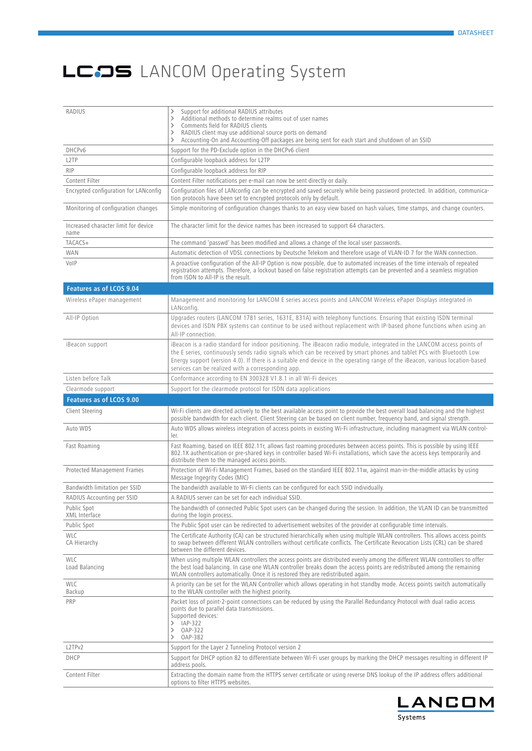| RADIUS                                       | Support for additional RADIUS attributes<br>⋋<br>Additional methods to determine realms out of user names<br>$\rightarrow$<br>Comments field for RADIUS clients<br>$\rightarrow$<br>RADIUS client may use additional source ports on demand<br>$\rightarrow$<br>Accounting-On and Accounting-Off packages are being sent for each start and shutdown of an SSID<br>$\rightarrow$                                                         |
|----------------------------------------------|------------------------------------------------------------------------------------------------------------------------------------------------------------------------------------------------------------------------------------------------------------------------------------------------------------------------------------------------------------------------------------------------------------------------------------------|
| DHCPv6                                       | Support for the PD-Exclude option in the DHCPv6 client                                                                                                                                                                                                                                                                                                                                                                                   |
| L <sub>2</sub> TP                            | Configurable loopback address for L2TP                                                                                                                                                                                                                                                                                                                                                                                                   |
| <b>RIP</b>                                   | Configurable loopback address for RIP                                                                                                                                                                                                                                                                                                                                                                                                    |
| Content Filter                               | Content Filter notifications per e-mail can now be sent directly or daily.                                                                                                                                                                                                                                                                                                                                                               |
| Encrypted configuration for LANconfig        | Configuration files of LANconfig can be encrypted and saved securely while being password protected. In addition, communica-<br>tion protocols have been set to encrypted protocols only by default.                                                                                                                                                                                                                                     |
| Monitoring of configuration changes          | Simple monitoring of configuration changes thanks to an easy view based on hash values, time stamps, and change counters.                                                                                                                                                                                                                                                                                                                |
| Increased character limit for device<br>name | The character limit for the device names has been increased to support 64 characters.                                                                                                                                                                                                                                                                                                                                                    |
| TACACS+                                      | The command 'passwd' has been modified and allows a change of the local user passwords.                                                                                                                                                                                                                                                                                                                                                  |
| <b>WAN</b>                                   | Automatic detection of VDSL connections by Deutsche Telekom and therefore usage of VLAN-ID 7 for the WAN connection.                                                                                                                                                                                                                                                                                                                     |
| VoIP                                         | A proactive configuration of the All-IP Option is now possible, due to automated increases of the time intervals of repeated<br>registration attempts. Therefore, a lockout based on false registration attempts can be prevented and a seamless migration<br>from ISDN to All-IP is the result.                                                                                                                                         |
| Features as of LCOS 9.04                     |                                                                                                                                                                                                                                                                                                                                                                                                                                          |
| Wireless ePaper management                   | Management and monitoring for LANCOM E series access points and LANCOM Wireless ePaper Displays integrated in<br>LANconfig.                                                                                                                                                                                                                                                                                                              |
| All-IP Option                                | Upgrades routers (LANCOM 1781 series, 1631E, 831A) with telephony functions. Ensuring that existing ISDN terminal<br>devices and ISDN PBX systems can continue to be used without replacement with IP-based phone functions when using an<br>All-IP connection.                                                                                                                                                                          |
| iBeacon support                              | iBeacon is a radio standard for indoor positioning. The iBeacon radio module, integrated in the LANCOM access points of<br>the E series, continuously sends radio signals which can be received by smart phones and tablet PCs with Bluetooth Low<br>Energy support (version 4.0). If there is a suitable end device in the operating range of the iBeacon, various location-based<br>services can be realized with a corresponding app. |
| Listen before Talk                           | Conformance according to EN 300328 V1.8.1 in all Wi-Fi devices                                                                                                                                                                                                                                                                                                                                                                           |
| Clearmode support                            | Support for the clearmode protocol for ISDN data applications                                                                                                                                                                                                                                                                                                                                                                            |
| Features as of LCOS 9.00                     |                                                                                                                                                                                                                                                                                                                                                                                                                                          |
|                                              |                                                                                                                                                                                                                                                                                                                                                                                                                                          |
| Client Steering                              | Wi-Fi clients are directed actively to the best available access point to provide the best overall load balancing and the highest<br>possible bandwidth for each client. Client Steering can be based on client number, frequency band, and signal strength.                                                                                                                                                                             |
| Auto WDS                                     | Auto WDS allows wireless integration of access points in existing Wi-Fi infrastructure, including managment via WLAN control-<br>ler.                                                                                                                                                                                                                                                                                                    |
| Fast Roaming                                 | Fast Roaming, based on IEEE 802.11r, allows fast roaming procedures between access points. This is possible by using IEEE<br>802.1X authentication or pre-shared keys in controller based Wi-Fi installations, which save the access keys temporarily and<br>distribute them to the managed access points.                                                                                                                               |
| Protected Management Frames                  | Protection of Wi-Fi Management Frames, based on the standard IEEE 802.11w, against man-in-the-middle attacks by using<br>Message Ingegrity Codes (MIC)                                                                                                                                                                                                                                                                                   |
| Bandwidth limitation per SSID                | The bandwidth available to Wi-Fi clients can be configured for each SSID individually.                                                                                                                                                                                                                                                                                                                                                   |
| RADIUS Accounting per SSID                   | A RADIUS server can be set for each individual SSID.                                                                                                                                                                                                                                                                                                                                                                                     |
| Public Spot<br>XML Interface                 | The bandwidth of connected Public Spot users can be changed during the session. In addition, the VLAN ID can be transmitted<br>during the login process.                                                                                                                                                                                                                                                                                 |
| Public Spot                                  | The Public Spot user can be redirected to advertisement websites of the provider at configurable time intervals.                                                                                                                                                                                                                                                                                                                         |
| <b>WLC</b><br>CA Hierarchy                   | The Certificate Authority (CA) can be structured hierarchically when using multiple WLAN controllers. This allows access points<br>to swap between different WLAN controllers without certificate conflicts. The Certificate Revocation Lists (CRL) can be shared<br>between the different devices.                                                                                                                                      |
| <b>WLC</b><br>Load Balancing                 | When using multiple WLAN controllers the access points are distributed evenly among the different WLAN controllers to offer<br>the best load balancing. In case one WLAN controller breaks down the access points are redistributed among the remaining<br>WLAN controllers automatically. Once it is restored they are redistributed again.                                                                                             |
| <b>WLC</b><br>Backup                         | A priority can be set for the WLAN Controller which allows operating in hot standby mode. Access points switch automatically<br>to the WLAN controller with the highest priority.                                                                                                                                                                                                                                                        |
| PRP                                          | Packet loss of point-2-point connections can be reduced by using the Parallel Redundancy Protocol with dual radio access<br>points due to parallel data transmissions.<br>Supported devices:<br>IAP-322<br>≻<br>OAP-322<br>$\rightarrow$<br>$\rightarrow$<br>OAP-382                                                                                                                                                                     |
| L2TPv2                                       | Support for the Layer 2 Tunneling Protocol version 2                                                                                                                                                                                                                                                                                                                                                                                     |
| DHCP                                         | Support for DHCP option 82 to differentiate between Wi-Fi user groups by marking the DHCP messages resulting in different IP<br>address pools.                                                                                                                                                                                                                                                                                           |

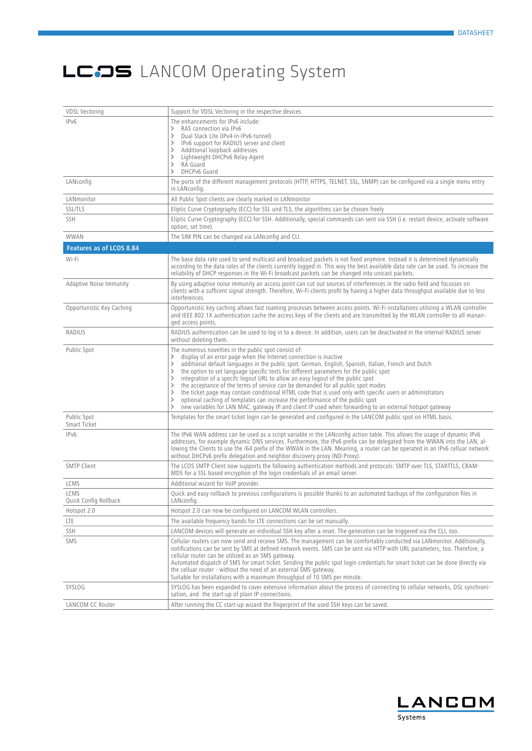| <b>VDSL Vectoring</b>         | Support for VDSL Vectoring in the respective devices                                                                                                                                                                                                                                                                                                                                                                                                                                                                                                                                                                                                                                                                                                                                                                                                                                    |
|-------------------------------|-----------------------------------------------------------------------------------------------------------------------------------------------------------------------------------------------------------------------------------------------------------------------------------------------------------------------------------------------------------------------------------------------------------------------------------------------------------------------------------------------------------------------------------------------------------------------------------------------------------------------------------------------------------------------------------------------------------------------------------------------------------------------------------------------------------------------------------------------------------------------------------------|
| IPv6                          | The enhancements for IPv6 include:<br>RAS connection via IPv6<br>$\rightarrow$<br>Dual Stack Lite (IPv4-in-IPv6-tunnel)<br>$\rightarrow$<br>IPv6 support for RADIUS server and client<br>$\rightarrow$<br>Additional loopback addresses<br>ゝ<br>Lightweight DHCPv6 Relay Agent<br>ゝ<br>RA Guard<br>$\rightarrow$<br>DHCPv6 Guard<br>$\rightarrow$                                                                                                                                                                                                                                                                                                                                                                                                                                                                                                                                       |
| LANconfig                     | The ports of the different management protocols (HTTP, HTTPS, TELNET, SSL, SNMP) can be configured via a single menu entry<br>in LANconfig.                                                                                                                                                                                                                                                                                                                                                                                                                                                                                                                                                                                                                                                                                                                                             |
| LANmonitor                    | All Public Spot clients are clearly marked in LANmonitor                                                                                                                                                                                                                                                                                                                                                                                                                                                                                                                                                                                                                                                                                                                                                                                                                                |
| <b>SSL/TLS</b>                | Eliptic Curve Cryptography (ECC) for SSL und TLS, the algorithms can be chosen freely                                                                                                                                                                                                                                                                                                                                                                                                                                                                                                                                                                                                                                                                                                                                                                                                   |
| SSH                           | Eliptic Curve Cryptography (ECC) for SSH. Additionally, special commands can sent via SSH (i.e. restart device, activate software<br>option, set time).                                                                                                                                                                                                                                                                                                                                                                                                                                                                                                                                                                                                                                                                                                                                 |
| <b>WWAN</b>                   | The SIM PIN can be changed via LANconfig and CLI.                                                                                                                                                                                                                                                                                                                                                                                                                                                                                                                                                                                                                                                                                                                                                                                                                                       |
| Features as of LCOS 8.84      |                                                                                                                                                                                                                                                                                                                                                                                                                                                                                                                                                                                                                                                                                                                                                                                                                                                                                         |
| Wi-Fi                         | The base data rate used to send multicast and broadcast packets is not fixed anymore. Instead it is determined dynamically<br>according to the data rates of the clients currently logged in. This way the best available data rate can be used. To increase the<br>reliability of DHCP responses in the Wi-Fi broadcast packets can be changed into unicast packets.                                                                                                                                                                                                                                                                                                                                                                                                                                                                                                                   |
| Adaptive Noise Immunity       | By using adaptive noise immunity an access point can cut out sources of interferences in the radio field and focusses on<br>clients with a sufficent signal strength. Therefore, Wi-Fi clients profit by having a higher data throughput available due to less<br>interferences.                                                                                                                                                                                                                                                                                                                                                                                                                                                                                                                                                                                                        |
| Opportunistic Key Caching     | Opportunistic key caching allows fast roaming processes between access points. Wi-Fi installations utilizing a WLAN controller<br>and IEEE 802.1X authentication cache the access keys of the clients and are transmitted by the WLAN controller to all manan-<br>ged access points.                                                                                                                                                                                                                                                                                                                                                                                                                                                                                                                                                                                                    |
| RADIUS                        | RADIUS authentication can be used to log in to a device. In addition, users can be deactivated in the internal RADIUS server<br>without deleting them.                                                                                                                                                                                                                                                                                                                                                                                                                                                                                                                                                                                                                                                                                                                                  |
| Public Spot                   | The numerous novelties in the public spot consist of:<br>display of an error page when the Internet connection is inactive<br>ゝ<br>additional default languages in the public spot: German, English, Spanish, Italian, French and Dutch<br>$\rightarrow$<br>the option to set language specific texts for different parameters for the public spot<br>ゝ<br>integration of a specifc logout URL to allow an easy logout of the public spot<br>$\rightarrow$<br>the acceptance of the terms of service can be demanded for all public spot modes<br>ゝ<br>the ticket page may contain conditional HTML code that is used only with specific users or administrators<br>ゝ<br>optional caching of templates can increase the performance of the public spot<br>ゝ<br>new variables for LAN MAC, gateway IP and client IP used when forwarding to an external hotspot gateway<br>$\rightarrow$ |
| Public Spot<br>Smart Ticket   | Templates for the smart ticket login can be generated and configured in the LANCOM public spot on HTML basis.                                                                                                                                                                                                                                                                                                                                                                                                                                                                                                                                                                                                                                                                                                                                                                           |
| IPv6                          | The IPv6 WAN address can be used as a script variable in the LANconfig action table. This allows the usage of dynamic IPv6<br>addresses, for example dynamic DNS services. Furthermore, the IPv6 prefix can be delegated from the WWAN into the LAN, al-<br>lowing the Clients to use the /64 prefix of the WWAN in the LAN. Meaning, a router can be operated in an IPv6 celluar network<br>without DHCPv6 prefix delegation and neighbor discovery proxy (ND-Proxy).                                                                                                                                                                                                                                                                                                                                                                                                                  |
| <b>SMTP Client</b>            | The LCOS SMTP Client now supports the following authentication methods and protocols: SMTP over TLS, STARTTLS, CRAM-<br>MD5 for a SSL based encryption of the login credentials of an email server.                                                                                                                                                                                                                                                                                                                                                                                                                                                                                                                                                                                                                                                                                     |
| LCMS                          | Additional wizard for VoIP provider.                                                                                                                                                                                                                                                                                                                                                                                                                                                                                                                                                                                                                                                                                                                                                                                                                                                    |
| LCMS<br>Quick Config Rollback | Quick and easy rollback to previous configurations is possible thanks to an automated backups of the configuration files in<br>LANconfig.                                                                                                                                                                                                                                                                                                                                                                                                                                                                                                                                                                                                                                                                                                                                               |
| Hotspot 2.0                   | Hotspot 2.0 can now be configured on LANCOM WLAN controllers.                                                                                                                                                                                                                                                                                                                                                                                                                                                                                                                                                                                                                                                                                                                                                                                                                           |
| <b>LTE</b>                    | The available frequency bands for LTE connections can be set manually.                                                                                                                                                                                                                                                                                                                                                                                                                                                                                                                                                                                                                                                                                                                                                                                                                  |
| SSH                           | LANCOM devices will generate an individual SSH key after a reset. The generation can be triggered via the CLI, too.                                                                                                                                                                                                                                                                                                                                                                                                                                                                                                                                                                                                                                                                                                                                                                     |
| SMS                           | Cellular routers can now send and receive SMS. The management can be comfortably conducted via LANmonitor. Additionally,<br>notifications can be sent by SMS at defined network events. SMS can be sent via HTTP with URL parameters, too. Therefore, a<br>cellular router can be utilized as an SMS gateway.<br>Automated dispatch of SMS for smart ticket. Sending the public spot login credentials for smart ticket can be done directly via<br>the celluar router - without the need of an external SMS gateway.<br>Suitable for installations with a maximum throughput of 10 SMS per minute.                                                                                                                                                                                                                                                                                     |
| SYSLOG                        | SYSLOG has been expanded to cover extensive information about the process of connecting to cellular networks, DSL synchroni-<br>sation, and the start-up of plain IP connections.                                                                                                                                                                                                                                                                                                                                                                                                                                                                                                                                                                                                                                                                                                       |
| LANCOM CC Router              | After running the CC start-up wizard the fingerprint of the used SSH keys can be saved.                                                                                                                                                                                                                                                                                                                                                                                                                                                                                                                                                                                                                                                                                                                                                                                                 |

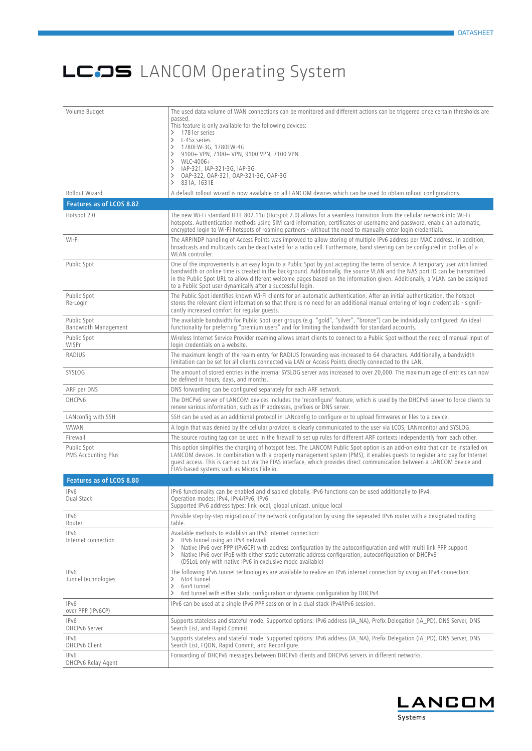| Volume Budget                             | The used data volume of WAN connections can be monitored and different actions can be triggered once certain thresholds are                                                                                                                                                                                                                                                                                                                                   |
|-------------------------------------------|---------------------------------------------------------------------------------------------------------------------------------------------------------------------------------------------------------------------------------------------------------------------------------------------------------------------------------------------------------------------------------------------------------------------------------------------------------------|
|                                           | passed.<br>This feature is only available for the following devices:                                                                                                                                                                                                                                                                                                                                                                                          |
|                                           | 1781er series<br>$\rightarrow$                                                                                                                                                                                                                                                                                                                                                                                                                                |
|                                           | L-45x series<br>$\rightarrow$<br>1780EW-3G, 1780EW-4G<br>ゝ                                                                                                                                                                                                                                                                                                                                                                                                    |
|                                           | 9100+ VPN, 7100+ VPN, 9100 VPN, 7100 VPN<br>$\rightarrow$                                                                                                                                                                                                                                                                                                                                                                                                     |
|                                           | WLC-4006+<br>ゝ<br>IAP-321, IAP-321-3G, IAP-3G<br>ゝ                                                                                                                                                                                                                                                                                                                                                                                                            |
|                                           | OAP-322, OAP-321, OAP-321-3G, OAP-3G<br>ゝ                                                                                                                                                                                                                                                                                                                                                                                                                     |
| Rollout Wizard                            | 831A, 1631E<br>ゝ                                                                                                                                                                                                                                                                                                                                                                                                                                              |
| Features as of LCOS 8.82                  | A default rollout wizard is now available on all LANCOM devices which can be used to obtain rollout configurations.                                                                                                                                                                                                                                                                                                                                           |
| Hotspot 2.0                               | The new Wi-Fi standard IEEE 802.11u (Hotspot 2.0) allows for a seamless transition from the cellular network into Wi-Fi                                                                                                                                                                                                                                                                                                                                       |
|                                           | hotspots. Authentication methods using SIM card information, certificates or username and password, enable an automatic,<br>encrypted login to Wi-Fi hotspots of roaming partners - without the need to manually enter login credentials.                                                                                                                                                                                                                     |
| Wi-Fi                                     | The ARP/NDP handling of Access Points was improved to allow storing of multiple IPv6 address per MAC address. In addition,<br>broadcasts and multicasts can be deactivated for a radio cell. Furthermore, band steering can be configured in profiles of a<br>WLAN controller.                                                                                                                                                                                |
| Public Spot                               | One of the improvements is an easy login to a Public Spot by just accepting the terms of service. A temporary user with limited<br>bandwidth or online time is created in the background. Additionally, the source VLAN and the NAS port ID can be transmitted<br>in the Public Spot URL to allow different welcome pages based on the information given. Additionally, a VLAN can be assigned<br>to a Public Spot user dynamically after a successful login. |
| Public Spot<br>Re-Login                   | The Public Spot identifies known Wi-Fi clients for an automatic authentication. After an initial authentication, the hotspot<br>stores the relevant client information so that there is no need for an additional manual entering of login credentials - signifi-<br>cantly increased comfort for regular quests.                                                                                                                                             |
| Public Spot<br>Bandwidth Management       | The available bandwidth for Public Spot user groups (e.g. "gold", "silver", "bronze") can be individually configured: An ideal<br>functionality for preferring "premium users" and for limiting the bandwidth for standard accounts.                                                                                                                                                                                                                          |
| Public Spot<br>WISPr                      | Wireless Internet Service Provider roaming allows smart clients to connect to a Public Spot without the need of manual input of<br>login credentials on a website.                                                                                                                                                                                                                                                                                            |
| RADIUS                                    | The maximum length of the realm entry for RADIUS forwarding was increased to 64 characters. Additionally, a bandwidth<br>limitation can be set for all clients connected via LAN or Access Points directly connected to the LAN.                                                                                                                                                                                                                              |
| SYSLOG                                    | The amount of stored entries in the internal SYSLOG server was increased to over 20,000. The maximum age of entries can now<br>be defined in hours, days, and months.                                                                                                                                                                                                                                                                                         |
| ARF per DNS                               | DNS forwarding can be configured separately for each ARF network.                                                                                                                                                                                                                                                                                                                                                                                             |
| DHCPv6                                    | The DHCPv6 server of LANCOM devices includes the 'reconfigure' feature, which is used by the DHCPv6 server to force clients to<br>renew various information, such as IP addresses, prefixes or DNS server.                                                                                                                                                                                                                                                    |
| LANconfig with SSH                        | SSH can be used as an additional protocol in LANconfig to configure or to upload firmwares or files to a device.                                                                                                                                                                                                                                                                                                                                              |
| <b>WWAN</b>                               | A login that was denied by the cellular provider, is clearly communicated to the user via LCOS, LANmonitor and SYSLOG.                                                                                                                                                                                                                                                                                                                                        |
| Firewall                                  | The source routing tag can be used in the firewall to set up rules for different ARF contexts independently from each other.                                                                                                                                                                                                                                                                                                                                  |
| Public Spot<br><b>PMS Accounting Plus</b> | This option simplifies the charging of hotspot fees. The LANCOM Public Spot option is an add-on extra that can be installed on<br>LANCOM devices. In combination with a property management system (PMS), it enables quests to register and pay for Internet<br>guest access. This is carried out via the FIAS interface, which provides direct communication between a LANCOM device and<br>FIAS-based systems such as Micros Fidelio.                       |
| Features as of LCOS 8.80                  |                                                                                                                                                                                                                                                                                                                                                                                                                                                               |
| IPv6<br>Dual Stack                        | IPv6 functionality can be enabled and disabled globally. IPv6 functions can be used additionally to IPv4.<br>Operation modes: IPv4, IPv4/IPv6, IPv6<br>Supported IPv6 address types: link local, global unicast. unique local                                                                                                                                                                                                                                 |
| IPv6<br>Router                            | Possible step-by-step migration of the network configuration by using the seperated IPv6 router with a designated routing<br>table.                                                                                                                                                                                                                                                                                                                           |
| IPv6<br>Internet connection               | Available methods to establish an IPv6 internet connection:<br>IPv6 tunnel using an IPv4 network<br>≻<br>Native IPv6 over PPP (IPv6CP) with address configuration by the autoconfiguration and with multi link PPP support<br>ゝ<br>Native IPv6 over IPoE with either static automatic address configuration, autoconfiguration or DHCPv6<br>≻<br>(DSLoL only with native IPv6 in exclusive mode available)                                                    |
| IPv6<br>Tunnel technologies               | The following IPv6 tunnel technologies are available to realize an IPv6 internet connection by using an IPv4 connection.<br>6to4 tunnel<br>ゝ<br>6in4 tunnel<br>ゝ<br>6rd tunnel with either static configuration or dynamic configuration by DHCPv4<br>≻                                                                                                                                                                                                       |
| IPv6<br>over PPP (IPv6CP)                 | IPv6 can be used at a single IPv6 PPP session or in a dual stack IPv4/IPv6 session.                                                                                                                                                                                                                                                                                                                                                                           |
| IPv6<br>DHCPv6 Server                     | Supports stateless and stateful mode. Supported options: IPv6 address (IA_NA), Prefix Delegation (IA_PD), DNS Server, DNS<br>Search List, and Rapid Commit                                                                                                                                                                                                                                                                                                    |
| IPv6<br><b>DHCPv6 Client</b>              | Supports stateless and stateful mode. Supported options: IPv6 address (IA_NA), Prefix Delegation (IA_PD), DNS Server, DNS<br>Search List, FQDN, Rapid Commit, and Reconfigure.                                                                                                                                                                                                                                                                                |
| IPv6<br>DHCPv6 Relay Agent                | Forwarding of DHCPv6 messages between DHCPv6 clients and DHCPv6 servers in different networks.                                                                                                                                                                                                                                                                                                                                                                |

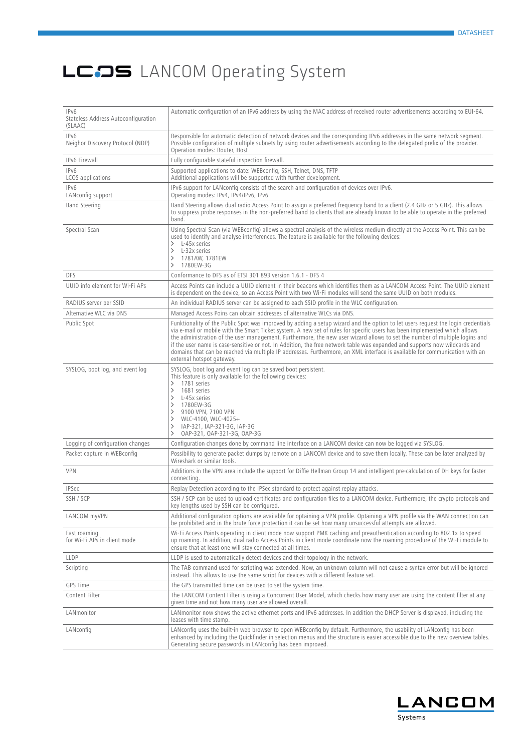| IPv6<br>Stateless Address Autoconfiguration<br>(SLAAC) | Automatic configuration of an IPv6 address by using the MAC address of received router advertisements according to EUI-64.                                                                                                                                                                                                                                                                                                                                                                                                                                                                                                                                                              |
|--------------------------------------------------------|-----------------------------------------------------------------------------------------------------------------------------------------------------------------------------------------------------------------------------------------------------------------------------------------------------------------------------------------------------------------------------------------------------------------------------------------------------------------------------------------------------------------------------------------------------------------------------------------------------------------------------------------------------------------------------------------|
| IPv6<br>Neighor Discovery Protocol (NDP)               | Responsible for automatic detection of network devices and the corresponding IPv6 addresses in the same network segment.<br>Possible configuration of multiple subnets by using router advertisements according to the delegated prefix of the provider.<br>Operation modes: Router, Host                                                                                                                                                                                                                                                                                                                                                                                               |
| IPv6 Firewall                                          | Fully configurable stateful inspection firewall.                                                                                                                                                                                                                                                                                                                                                                                                                                                                                                                                                                                                                                        |
| IPv6<br>LCOS applications                              | Supported applications to date: WEBconfig, SSH, Telnet, DNS, TFTP<br>Additional applications will be supported with further development.                                                                                                                                                                                                                                                                                                                                                                                                                                                                                                                                                |
| IPv6<br>LANconfig support                              | IPv6 support for LANconfig consists of the search and configuration of devices over IPv6.<br>Operating modes: IPv4, IPv4/IPv6, IPv6                                                                                                                                                                                                                                                                                                                                                                                                                                                                                                                                                     |
| <b>Band Steering</b>                                   | Band Steering allows dual radio Access Point to assign a preferred frequency band to a client (2.4 GHz or 5 GHz). This allows<br>to suppress probe responses in the non-preferred band to clients that are already known to be able to operate in the preferred<br>band.                                                                                                                                                                                                                                                                                                                                                                                                                |
| Spectral Scan                                          | Using Spectral Scan (via WEBconfig) allows a spectral analysis of the wireless medium directly at the Access Point. This can be<br>used to identify and analyse interferences. The feature is available for the following devices:<br>$\geq$ L-45x series<br>$\rightarrow$<br>L-32x series<br>1781AW, 1781EW<br>ゝ<br>1780EW-3G<br>$\rightarrow$                                                                                                                                                                                                                                                                                                                                         |
| DFS                                                    | Conformance to DFS as of ETSI 301 893 version 1.6.1 - DFS 4                                                                                                                                                                                                                                                                                                                                                                                                                                                                                                                                                                                                                             |
| UUID info element for Wi-Fi APs                        | Access Points can include a UUID element in their beacons which identifies them as a LANCOM Access Point. The UUID element<br>is dependent on the device, so an Access Point with two Wi-Fi modules will send the same UUID on both modules.                                                                                                                                                                                                                                                                                                                                                                                                                                            |
| RADIUS server per SSID                                 | An individual RADIUS server can be assigned to each SSID profile in the WLC configuration.                                                                                                                                                                                                                                                                                                                                                                                                                                                                                                                                                                                              |
| Alternative WLC via DNS                                | Managed Access Poins can obtain addresses of alternative WLCs via DNS.                                                                                                                                                                                                                                                                                                                                                                                                                                                                                                                                                                                                                  |
| Public Spot                                            | Funktionality of the Public Spot was improved by adding a setup wizard and the option to let users request the login credentials<br>via e-mail or mobile with the Smart Ticket system. A new set of rules for specific users has been implemented which allows<br>the administration of the user management. Furthermore, the new user wizard allows to set the number of multiple logins and<br>if the user name is case-sensitive or not. In Addition, the free network table was expanded and supports now wildcards and<br>domains that can be reached via multiple IP addresses. Furthermore, an XML interface is available for communication with an<br>external hotspot gateway. |
| SYSLOG, boot log, and event log                        | SYSLOG, boot log and event log can be saved boot persistent.<br>This feature is only available for the following devices:<br>1781 series<br>$\left. \right.$<br>$\rightarrow$<br>1681 series<br>L-45x series<br>ゝ<br>1780EW-3G<br>ゝ<br>9100 VPN, 7100 VPN<br>ゝ<br>WLC-4100, WLC-4025+<br>><br>IAP-321, IAP-321-3G, IAP-3G<br>><br>$\rightarrow$<br>OAP-321, OAP-321-3G, OAP-3G                                                                                                                                                                                                                                                                                                          |
| Logging of configuration changes                       | Configuration changes done by command line interface on a LANCOM device can now be logged via SYSLOG.                                                                                                                                                                                                                                                                                                                                                                                                                                                                                                                                                                                   |
| Packet capture in WEBconfig                            | Possibility to generate packet dumps by remote on a LANCOM device and to save them locally. These can be later analyzed by<br>Wireshark or similar tools.                                                                                                                                                                                                                                                                                                                                                                                                                                                                                                                               |
| <b>VPN</b>                                             | Additions in the VPN area include the support for Diffie Hellman Group 14 and intelligent pre-calculation of DH keys for faster<br>connecting.                                                                                                                                                                                                                                                                                                                                                                                                                                                                                                                                          |
| <b>IPSec</b>                                           | Replay Detection according to the IPSec standard to protect against replay attacks.                                                                                                                                                                                                                                                                                                                                                                                                                                                                                                                                                                                                     |
| SSH / SCP                                              | SSH / SCP can be used to upload certificates and configuration files to a LANCOM device. Furthermore, the crypto protocols and<br>key lengths used by SSH can be configured.                                                                                                                                                                                                                                                                                                                                                                                                                                                                                                            |
| LANCOM myVPN                                           | Additional configuration options are available for optaining a VPN profile. Optaining a VPN profile via the WAN connection can<br>be prohibited and in the brute force protection it can be set how many unsuccessful attempts are allowed.                                                                                                                                                                                                                                                                                                                                                                                                                                             |
| Fast roaming<br>for Wi-Fi APs in client mode           | Wi-Fi Access Points operating in client mode now support PMK caching and preauthentication according to 802.1x to speed<br>up roaming. In addition, dual radio Access Points in client mode coordinate now the roaming procedure of the Wi-Fi module to<br>ensure that at least one will stay connected at all times.                                                                                                                                                                                                                                                                                                                                                                   |
| LLDP                                                   | LLDP is used to automatically detect devices and their topology in the network.                                                                                                                                                                                                                                                                                                                                                                                                                                                                                                                                                                                                         |
| Scripting                                              | The TAB command used for scripting was extended. Now, an unknown column will not cause a syntax error but will be ignored<br>instead. This allows to use the same script for devices with a different feature set.                                                                                                                                                                                                                                                                                                                                                                                                                                                                      |
| GPS Time                                               | The GPS transmitted time can be used to set the system time.                                                                                                                                                                                                                                                                                                                                                                                                                                                                                                                                                                                                                            |
| Content Filter                                         | The LANCOM Content Filter is using a Concurrent User Model, which checks how many user are using the content filter at any<br>given time and not how many user are allowed overall.                                                                                                                                                                                                                                                                                                                                                                                                                                                                                                     |
| LANmonitor                                             | LANmonitor now shows the active ethernet ports and IPv6 addresses. In addition the DHCP Server is displayed, including the<br>leases with time stamp.                                                                                                                                                                                                                                                                                                                                                                                                                                                                                                                                   |
| LANconfig                                              | LANconfig uses the built-in web browser to open WEBconfig by default. Furthermore, the usability of LANconfig has been<br>enhanced by including the Quickfinder in selection menus and the structure is easier accessible due to the new overview tables.<br>Generating secure passwords in LANconfig has been improved.                                                                                                                                                                                                                                                                                                                                                                |

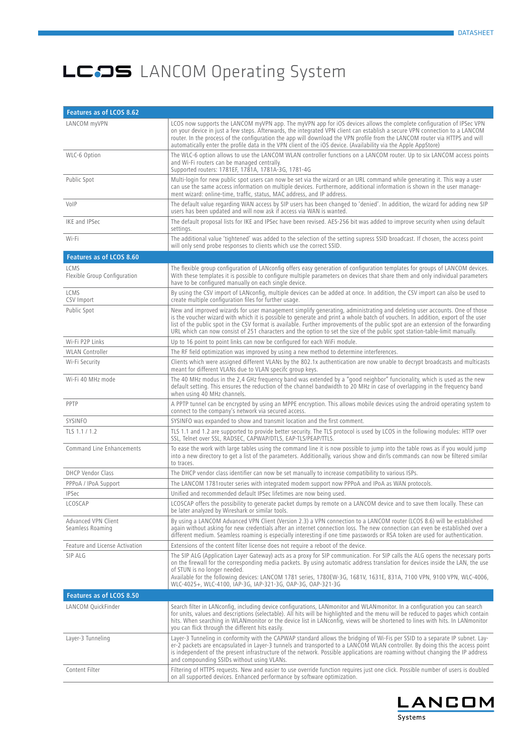| Features as of LCOS 8.62                |                                                                                                                                                                                                                                                                                                                                                                                                                                                                                                                                    |  |
|-----------------------------------------|------------------------------------------------------------------------------------------------------------------------------------------------------------------------------------------------------------------------------------------------------------------------------------------------------------------------------------------------------------------------------------------------------------------------------------------------------------------------------------------------------------------------------------|--|
| LANCOM myVPN                            | LCOS now supports the LANCOM myVPN app. The myVPN app for iOS devices allows the complete configuration of IPSec VPN<br>on your device in just a few steps. Afterwards, the integrated VPN client can establish a secure VPN connection to a LANCOM<br>router. In the process of the configuration the app will download the VPN profile from the LANCOM router via HTTPS and will<br>automatically enter the profile data in the VPN client of the iOS device. (Availability via the Apple AppStore)                              |  |
| WLC-6 Option                            | The WLC-6 option allows to use the LANCOM WLAN controller functions on a LANCOM router. Up to six LANCOM access points<br>and Wi-Fi routers can be managed centrally.<br>Supported routers: 1781EF, 1781A, 1781A-3G, 1781-4G                                                                                                                                                                                                                                                                                                       |  |
| Public Spot                             | Multi-login for new public spot users can now be set via the wizard or an URL command while generating it. This way a user<br>can use the same access information on multiple devices. Furthermore, additional information is shown in the user manage-<br>ment wizard: online-time, traffic, status, MAC address, and IP address.                                                                                                                                                                                                 |  |
| VolP                                    | The default value regarding WAN access by SIP users has been changed to 'denied'. In addition, the wizard for adding new SIP<br>users has been updated and will now ask if access via WAN is wanted.                                                                                                                                                                                                                                                                                                                               |  |
| IKE and IPSec                           | The default proposal lists for IKE and IPSec have been revised. AES-256 bit was added to improve security when using default<br>settings.                                                                                                                                                                                                                                                                                                                                                                                          |  |
| Wi-Fi                                   | The additional value 'tightened' was added to the selection of the setting supress SSID broadcast. If chosen, the access point<br>will only send probe responses to clients which use the correct SSID.                                                                                                                                                                                                                                                                                                                            |  |
| Features as of LCOS 8.60                |                                                                                                                                                                                                                                                                                                                                                                                                                                                                                                                                    |  |
| LCMS<br>Flexible Group Configuration    | The flexible group configuration of LANconfig offers easy generation of configuration templates for groups of LANCOM devices.<br>With these templates it is possible to configure multiple parameters on devices that share them and only individual parameters<br>have to be configured manually on each single device.                                                                                                                                                                                                           |  |
| LCMS<br>CSV Import                      | By using the CSV import of LANconfig, multiple devices can be added at once. In addition, the CSV import can also be used to<br>create multiple configuration files for further usage.                                                                                                                                                                                                                                                                                                                                             |  |
| Public Spot                             | New and improved wizards for user management simplify generating, administrating and deleting user accounts. One of those<br>is the voucher wizard with which it is possible to generate and print a whole batch of vouchers. In addition, export of the user<br>list of the public spot in the CSV format is available. Further improvements of the public spot are an extension of the forwarding<br>URL which can now consist of 251 characters and the option to set the size of the public spot station-table-limit manually. |  |
| Wi-Fi P2P Links                         | Up to 16 point to point links can now be configured for each WiFi module.                                                                                                                                                                                                                                                                                                                                                                                                                                                          |  |
| <b>WLAN Controller</b>                  | The RF field optimization was improved by using a new method to determine interferences.                                                                                                                                                                                                                                                                                                                                                                                                                                           |  |
| Wi-Fi Security                          | Clients which were assigned different VLANs by the 802.1x authentication are now unable to decrypt broadcasts and multicasts<br>meant for different VLANs due to VLAN specifc group keys.                                                                                                                                                                                                                                                                                                                                          |  |
| Wi-Fi 40 MHz mode                       | The 40 MHz modus in the 2,4 GHz frequency band was extended by a "good neighbor" funcionality, which is used as the new<br>default setting. This ensures the reduction of the channel bandwidth to 20 MHz in case of overlapping in the frequency band<br>when using 40 MHz channels.                                                                                                                                                                                                                                              |  |
| PPTP                                    | A PPTP tunnel can be encrypted by using an MPPE encryption. This allows mobile devices using the android operating system to<br>connect to the company's network via secured access.                                                                                                                                                                                                                                                                                                                                               |  |
| SYSINFO                                 | SYSINFO was expanded to show and transmit location and the first comment.                                                                                                                                                                                                                                                                                                                                                                                                                                                          |  |
| TLS 1.1 / 1.2                           | TLS 1.1 and 1.2 are supported to provide better security. The TLS protocol is used by LCOS in the following modules: HTTP over<br>SSL, Telnet over SSL, RADSEC, CAPWAP/DTLS, EAP-TLS/PEAP/TTLS.                                                                                                                                                                                                                                                                                                                                    |  |
| Command Line Enhancements               | To ease the work with large tables using the command line it is now possible to jump into the table rows as if you would jump<br>into a new directory to get a list of the parameters. Additionally, various show and dir/ls commands can now be filtered similar<br>to traces.                                                                                                                                                                                                                                                    |  |
| <b>DHCP Vendor Class</b>                | The DHCP vendor class identifier can now be set manually to increase compatibility to various ISPs.                                                                                                                                                                                                                                                                                                                                                                                                                                |  |
| PPPoA / IPoA Support                    | The LANCOM 1781 router series with integrated modem support now PPPoA and IPoA as WAN protocols.                                                                                                                                                                                                                                                                                                                                                                                                                                   |  |
| <b>IPSec</b>                            | Unified and recommended default IPSec lifetimes are now being used.                                                                                                                                                                                                                                                                                                                                                                                                                                                                |  |
| LCOSCAP                                 | LCOSCAP offers the possibility to generate packet dumps by remote on a LANCOM device and to save them locally. These can<br>be later analyzed by Wireshark or similar tools.                                                                                                                                                                                                                                                                                                                                                       |  |
| Advanced VPN Client<br>Seamless Roaming | By using a LANCOM Advanced VPN Client (Version 2.3) a VPN connection to a LANCOM router (LCOS 8.6) will be established<br>again without asking for new credentials after an internet connection loss. The new connection can even be established over a<br>different medium. Seamless roaming is especially interesting if one time passwords or RSA token are used for authentication.                                                                                                                                            |  |
| Feature and License Activation          | Extensions of the content filter license does not require a reboot of the device.                                                                                                                                                                                                                                                                                                                                                                                                                                                  |  |
| SIP ALG                                 | The SIP ALG (Application Layer Gateway) acts as a proxy for SIP communication. For SIP calls the ALG opens the necessary ports<br>on the firewall for the corresponding media packets. By using automatic address translation for devices inside the LAN, the use<br>of STUN is no longer needed.<br>Available for the following devices: LANCOM 1781 series, 1780EW-3G, 1681V, 1631E, 831A, 7100 VPN, 9100 VPN, WLC-4006,<br>WLC-4025+, WLC-4100, IAP-3G, IAP-321-3G, OAP-3G, OAP-321-3G                                          |  |
| Features as of LCOS 8.50                |                                                                                                                                                                                                                                                                                                                                                                                                                                                                                                                                    |  |
| LANCOM QuickFinder                      | Search filter in LANconfig, including device configurations, LANmonitor and WLANmonitor. In a configuration you can search<br>for units, values and descriptions (selectable). All hits will be highlighted and the menu will be reduced to pages which contain<br>hits. When searching in WLANmonitor or the device list in LANconfig, views will be shortened to lines with hits. In LANmonitor<br>you can flick through the different hits easily.                                                                              |  |
| Layer-3 Tunneling                       | Layer-3 Tunneling in conformity with the CAPWAP standard allows the bridging of Wi-Fis per SSID to a separate IP subnet. Lay-<br>er-2 packets are encapsulated in Layer-3 tunnels and transported to a LANCOM WLAN controller. By doing this the access point<br>is independent of the present infrastructure of the network. Possible applications are roaming without changing the IP address<br>and compounding SSIDs without using VLANs.                                                                                      |  |
| Content Filter                          | Filtering of HTTPS requests. New and easier to use override function requires just one click. Possible number of users is doubled<br>on all supported devices. Enhanced performance by software optimization.                                                                                                                                                                                                                                                                                                                      |  |

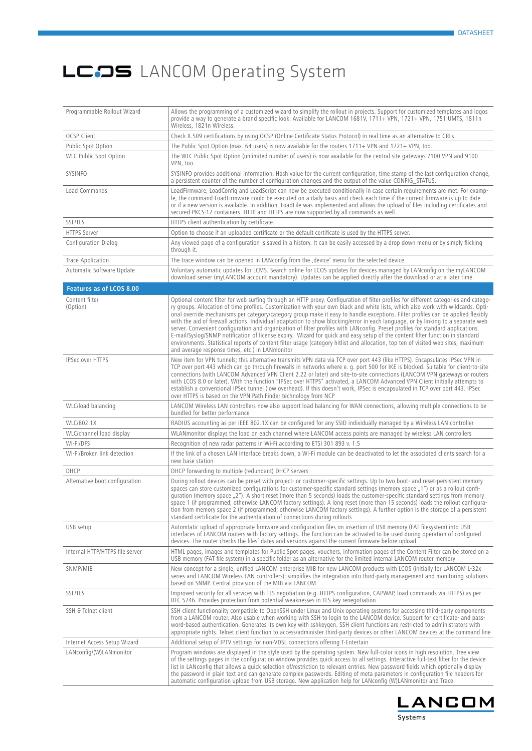| Programmable Rollout Wizard     | Allows the programming of a customized wizard to simplify the rollout in projects. Support for customized templates and logos<br>provide a way to generate a brand specific look. Available for LANCOM 1681V, 1711+ VPN, 1721+ VPN, 1751 UMTS, 1811n<br>Wireless, 1821n Wireless.                                                                                                                                                                                                                                                                                                                                                                                                                                                                                                                                                                                                                                                                                                                           |
|---------------------------------|-------------------------------------------------------------------------------------------------------------------------------------------------------------------------------------------------------------------------------------------------------------------------------------------------------------------------------------------------------------------------------------------------------------------------------------------------------------------------------------------------------------------------------------------------------------------------------------------------------------------------------------------------------------------------------------------------------------------------------------------------------------------------------------------------------------------------------------------------------------------------------------------------------------------------------------------------------------------------------------------------------------|
| <b>OCSP Client</b>              | Check X.509 certifications by using OCSP (Online Certificate Status Protocol) in real time as an alternative to CRLs.                                                                                                                                                                                                                                                                                                                                                                                                                                                                                                                                                                                                                                                                                                                                                                                                                                                                                       |
| Public Spot Option              | The Public Spot Option (max. 64 users) is now available for the routers $1711 + VPN$ and $1721 + VPN$ , too.                                                                                                                                                                                                                                                                                                                                                                                                                                                                                                                                                                                                                                                                                                                                                                                                                                                                                                |
| WLC Public Spot Option          | The WLC Public Spot Option (unlimited number of users) is now available for the central site gateways 7100 VPN and 9100<br>VPN, too.                                                                                                                                                                                                                                                                                                                                                                                                                                                                                                                                                                                                                                                                                                                                                                                                                                                                        |
| SYSINFO                         | SYSINFO provides additional information. Hash value for the current configuration, time stamp of the last configuration change,<br>a persistent counter of the number of configuration changes and the output of the value CONFIG_STATUS.                                                                                                                                                                                                                                                                                                                                                                                                                                                                                                                                                                                                                                                                                                                                                                   |
| Load Commands                   | LoadFirmware, LoadConfig and LoadScript can now be executed conditionally in case certain requirements are met. For examp-<br>le, the command LoadFirmware could be executed on a daily basis and check each time if the current firmware is up to date<br>or if a new version is available. In addition, LoadFile was implemented and allows the upload of files including certificates and<br>secured PKCS-12 containers. HTTP and HTTPS are now supported by all commands as well.                                                                                                                                                                                                                                                                                                                                                                                                                                                                                                                       |
| <b>SSL/TLS</b>                  | HTTPS client authentication by certificate.                                                                                                                                                                                                                                                                                                                                                                                                                                                                                                                                                                                                                                                                                                                                                                                                                                                                                                                                                                 |
| <b>HTTPS Server</b>             | Option to choose if an uploaded certificate or the default certificate is used by the HTTPS server.                                                                                                                                                                                                                                                                                                                                                                                                                                                                                                                                                                                                                                                                                                                                                                                                                                                                                                         |
| Configuration Dialog            | Any viewed page of a configuration is saved in a history. It can be easily accessed by a drop down menu or by simply flicking<br>through it.                                                                                                                                                                                                                                                                                                                                                                                                                                                                                                                                                                                                                                                                                                                                                                                                                                                                |
| Trace Application               | The trace window can be opened in LANconfig from the , device' menu for the selected device.                                                                                                                                                                                                                                                                                                                                                                                                                                                                                                                                                                                                                                                                                                                                                                                                                                                                                                                |
| Automatic Software Update       | Voluntary automatic updates for LCMS. Search online for LCOS updates for devices managed by LANconfig on the myLANCOM<br>download server (myLANCOM account mandatory). Updates can be applied directly after the download or at a later time.                                                                                                                                                                                                                                                                                                                                                                                                                                                                                                                                                                                                                                                                                                                                                               |
| Features as of LCOS 8.00        |                                                                                                                                                                                                                                                                                                                                                                                                                                                                                                                                                                                                                                                                                                                                                                                                                                                                                                                                                                                                             |
| Content filter<br>(Option)      | Optional content filter for web surfing through an HTTP proxy. Configuration of filter profiles for different categories and catego-<br>ry groups. Allocation of time profiles. Customization with your own black and white lists, which also work with wildcards. Opti-<br>onal override mechanisms per category/category group make it easy to handle exceptions. Filter profiles can be applied flexibly<br>with the aid of firewall actions. Individual adaptation to show blocking/error in each language, or by linking to a separate web<br>server. Convenient configuration and organization of filter profiles with LANconfig. Preset profiles for standard applications.<br>E-mail/Syslog/SNMP notification of license expiry. Wizard for quick and easy setup of the content filter function in standard<br>environments. Statistical reports of content filter usage (category hitlist and allocation, top ten of visited web sites, maximum<br>and average response times, etc.) in LANmonitor |
| <b>IPSec over HTTPS</b>         | New item for VPN tunnels; this alternative transmits VPN data via TCP over port 443 (like HTTPS). Encapsulates IPSec VPN in<br>TCP over port 443 which can go through firewalls in networks where e. g. port 500 for IKE is blocked. Suitable for client-to-site<br>connections (with LANCOM Advanced VPN Client 2.22 or later) and site-to-site connections (LANCOM VPN gateways or routers<br>with LCOS 8.0 or later). With the function "IPSec over HTTPS" activated, a LANCOM Advanced VPN Client initially attempts to<br>establish a conventional IPSec tunnel (low overhead). If this doesn't work, IPSec is encapsulated in TCP over port 443. IPSec<br>over HTTPS is based on the VPN Path Finder technology from NCP                                                                                                                                                                                                                                                                              |
| WLC/load balancing              | LANCOM Wireless LAN controllers now also support load balancing for WAN connections, allowing multiple connections to be<br>bundled for better performance                                                                                                                                                                                                                                                                                                                                                                                                                                                                                                                                                                                                                                                                                                                                                                                                                                                  |
| WLC/802.1X                      | RADIUS accounting as per IEEE 802.1X can be configured for any SSID individually managed by a Wireless LAN controller                                                                                                                                                                                                                                                                                                                                                                                                                                                                                                                                                                                                                                                                                                                                                                                                                                                                                       |
| WLC/channel load display        | WLANmonitor displays the load on each channel where LANCOM access points are managed by wireless LAN controllers                                                                                                                                                                                                                                                                                                                                                                                                                                                                                                                                                                                                                                                                                                                                                                                                                                                                                            |
| Wi-Fi/DFS                       | Recognition of new radar patterns in Wi-Fi according to ETSI 301 893 v. 1.5                                                                                                                                                                                                                                                                                                                                                                                                                                                                                                                                                                                                                                                                                                                                                                                                                                                                                                                                 |
| Wi-Fi/Broken link detection     | If the link of a chosen LAN interface breaks down, a Wi-Fi module can be deactivated to let the associated clients search for a<br>new base station                                                                                                                                                                                                                                                                                                                                                                                                                                                                                                                                                                                                                                                                                                                                                                                                                                                         |
| DHCP                            | DHCP forwarding to multiple (redundant) DHCP servers                                                                                                                                                                                                                                                                                                                                                                                                                                                                                                                                                                                                                                                                                                                                                                                                                                                                                                                                                        |
| Alternative boot configuration  | During rollout devices can be preset with project- or customer-specific settings. Up to two boot- and reset-persistent memory<br>spaces can store customized configurations for customer-specific standard settings (memory space "1") or as a rollout confi-<br>guration (memory space "2"). A short reset (more than 5 seconds) loads the customer-specific standard settings from memory<br>space 1 (if programmed; otherwise LANCOM factory settings). A long reset (more than 15 seconds) loads the rollout configura-<br>tion from memory space 2 (if programmed; otherwise LANCOM factory settings). A further option is the storage of a persistent<br>standard certificate for the authentication of connections during rollouts                                                                                                                                                                                                                                                                   |
| USB setup                       | Automtatic upload of appropriate firmware and configuration files on insertion of USB memory (FAT filesystem) into USB<br>interfaces of LANCOM routers with factory settings. The function can be activated to be used during operation of configured<br>devices. The router checks the files' dates and versions against the current firmware before upload                                                                                                                                                                                                                                                                                                                                                                                                                                                                                                                                                                                                                                                |
| Internal HTTP/HTTPS file server | HTML pages, images and templates for Public Spot pages, vouchers, information pages of the Content Filter can be stored on a<br>USB memory (FAT file system) in a specific folder as an alternative for the limited internal LANCOM router memory                                                                                                                                                                                                                                                                                                                                                                                                                                                                                                                                                                                                                                                                                                                                                           |
| SNMP/MIB                        | New concept for a single, unified LANCOM enterprise MIB for new LANCOM products with LCOS (initially for LANCOM L-32x<br>series and LANCOM Wireless LAN controllers); simplifies the integration into third-party management and monitoring solutions<br>based on SNMP. Central provision of the MIB via LANCOM                                                                                                                                                                                                                                                                                                                                                                                                                                                                                                                                                                                                                                                                                             |
| <b>SSL/TLS</b>                  | Improved security for all services with TLS negotiation (e.g. HTTPS configuration, CAPWAP, load commands via HTTPS) as per<br>RFC 5746. Provides protection from potential weaknesses in TLS key renegotiation                                                                                                                                                                                                                                                                                                                                                                                                                                                                                                                                                                                                                                                                                                                                                                                              |
| SSH & Telnet client             | SSH client functionality compatible to OpenSSH under Linux and Unix operating systems for accessing third-party components<br>from a LANCOM router. Also usable when working with SSH to login to the LANCOM device. Support for certificate- and pass-<br>word-based authentication. Generates its own key with sshkeygen. SSH client functions are restricted to administrators with<br>appropriate rights. Telnet client function to access/administer third-party devices or other LANCOM devices at the command line                                                                                                                                                                                                                                                                                                                                                                                                                                                                                   |
| Internet Access Setup Wizard    | Additional setup of IPTV settings for non-VDSL connections offering T-Entertain                                                                                                                                                                                                                                                                                                                                                                                                                                                                                                                                                                                                                                                                                                                                                                                                                                                                                                                             |
| LANconfig/(W)LANmonitor         | Program windows are displayed in the style used by the operating system. New full-color icons in high resolution. Tree view<br>of the settings pages in the configuration window provides quick access to all settings. Interactive full-text filter for the device<br>list in LANconfig that allows a quick selection of/restriction to relevant entries. New password fields which optionally display<br>the password in plain text and can generate complex passwords. Editing of meta parameters in configuration file headers for<br>automatic configuration upload from USB storage. New application help for LANconfig (W)LANmonitor and Trace                                                                                                                                                                                                                                                                                                                                                       |

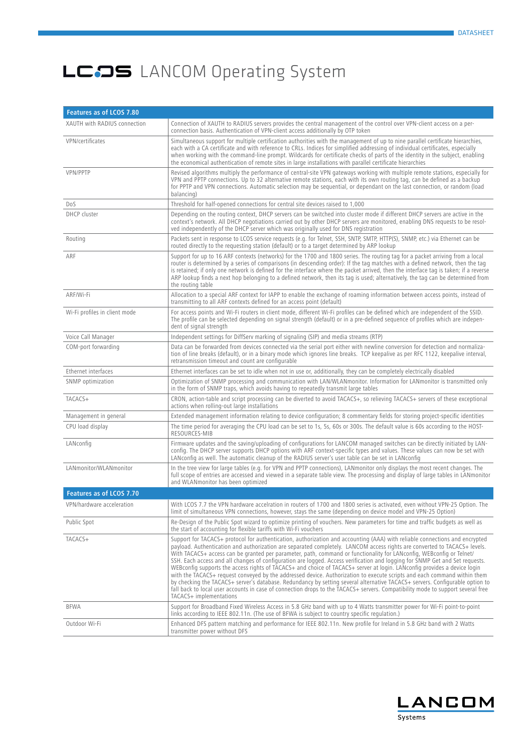| Features as of LCOS 7.80      |                                                                                                                                                                                                                                                                                                                                                                                                                                                                                                                                                                                                                                                                                                                                                                                                                                                                                                                                                                                                                                                                        |  |
|-------------------------------|------------------------------------------------------------------------------------------------------------------------------------------------------------------------------------------------------------------------------------------------------------------------------------------------------------------------------------------------------------------------------------------------------------------------------------------------------------------------------------------------------------------------------------------------------------------------------------------------------------------------------------------------------------------------------------------------------------------------------------------------------------------------------------------------------------------------------------------------------------------------------------------------------------------------------------------------------------------------------------------------------------------------------------------------------------------------|--|
| XAUTH with RADIUS connection  | Connection of XAUTH to RADIUS servers provides the central management of the control over VPN-client access on a per-<br>connection basis. Authentication of VPN-client access additionally by OTP token                                                                                                                                                                                                                                                                                                                                                                                                                                                                                                                                                                                                                                                                                                                                                                                                                                                               |  |
| VPN/certificates              | Simultaneous support for multiple certification authorities with the management of up to nine parallel certificate hierarchies,<br>each with a CA certificate and with reference to CRLs. Indices for simplified addressing of individual certificates, especially<br>when working with the command-line prompt. Wildcards for certificate checks of parts of the identity in the subject, enabling<br>the economical authentication of remote sites in large installations with parallel certificate hierarchies                                                                                                                                                                                                                                                                                                                                                                                                                                                                                                                                                      |  |
| VPN/PPTP                      | Revised algorithms multiply the performance of central-site VPN gateways working with multiple remote stations, especially for<br>VPN and PPTP connections. Up to 32 alternative remote stations, each with its own routing tag, can be defined as a backup<br>for PPTP and VPN connections. Automatic selection may be sequential, or dependant on the last connection, or random (load<br>balancing)                                                                                                                                                                                                                                                                                                                                                                                                                                                                                                                                                                                                                                                                 |  |
| Dos                           | Threshold for half-opened connections for central site devices raised to 1,000                                                                                                                                                                                                                                                                                                                                                                                                                                                                                                                                                                                                                                                                                                                                                                                                                                                                                                                                                                                         |  |
| <b>DHCP</b> cluster           | Depending on the routing context, DHCP servers can be switched into cluster mode if different DHCP servers are active in the<br>context's network. All DHCP negotiations carried out by other DHCP servers are monitored, enabling DNS requests to be resol-<br>ved independently of the DHCP server which was originally used for DNS registration                                                                                                                                                                                                                                                                                                                                                                                                                                                                                                                                                                                                                                                                                                                    |  |
| Routing                       | Packets sent in response to LCOS service requests (e.g. for Telnet, SSH, SNTP, SMTP, HTTP(S), SNMP, etc.) via Ethernet can be<br>routed directly to the requesting station (default) or to a target determined by ARP lookup                                                                                                                                                                                                                                                                                                                                                                                                                                                                                                                                                                                                                                                                                                                                                                                                                                           |  |
| ARF                           | Support for up to 16 ARF contexts (networks) for the 1700 and 1800 series. The routing tag for a packet arriving from a local<br>router is determined by a series of comparisons (in descending order): If the tag matches with a defined network, then the tag<br>is retained; if only one network is defined for the interface where the packet arrived, then the interface tag is taken; if a reverse<br>ARP lookup finds a next hop belonging to a defined network, then its tag is used; alternatively, the tag can be determined from<br>the routing table                                                                                                                                                                                                                                                                                                                                                                                                                                                                                                       |  |
| ARF/Wi-Fi                     | Allocation to a special ARF context for IAPP to enable the exchange of roaming information between access points, instead of<br>transmitting to all ARF contexts defined for an access point (default)                                                                                                                                                                                                                                                                                                                                                                                                                                                                                                                                                                                                                                                                                                                                                                                                                                                                 |  |
| Wi-Fi profiles in client mode | For access points and Wi-Fi routers in client mode, different Wi-Fi profiles can be defined which are independent of the SSID.<br>The profile can be selected depending on signal strength (default) or in a pre-defined sequence of profiles which are indepen-<br>dent of signal strength                                                                                                                                                                                                                                                                                                                                                                                                                                                                                                                                                                                                                                                                                                                                                                            |  |
| Voice Call Manager            | Independent settings for DiffServ marking of signaling (SIP) and media streams (RTP)                                                                                                                                                                                                                                                                                                                                                                                                                                                                                                                                                                                                                                                                                                                                                                                                                                                                                                                                                                                   |  |
| COM-port forwarding           | Data can be forwarded from devices connected via the serial port either with newline conversion for detection and normaliza-<br>tion of line breaks (default), or in a binary mode which ignores line breaks. TCP keepalive as per RFC 1122, keepalive interval,<br>retransmission timeout and count are configurable                                                                                                                                                                                                                                                                                                                                                                                                                                                                                                                                                                                                                                                                                                                                                  |  |
| Ethernet interfaces           | Ethernet interfaces can be set to idle when not in use or, additionally, they can be completely electrically disabled                                                                                                                                                                                                                                                                                                                                                                                                                                                                                                                                                                                                                                                                                                                                                                                                                                                                                                                                                  |  |
| SNMP optimization             | Optimization of SNMP processing and communication with LAN/WLANmonitor. Information for LANmonitor is transmitted only<br>in the form of SNMP traps, which avoids having to repeatedly transmit large tables                                                                                                                                                                                                                                                                                                                                                                                                                                                                                                                                                                                                                                                                                                                                                                                                                                                           |  |
| TACACS+                       | CRON, action-table and script processing can be diverted to avoid TACACS+, so relieving TACACS+ servers of these exceptional<br>actions when rolling-out large installations                                                                                                                                                                                                                                                                                                                                                                                                                                                                                                                                                                                                                                                                                                                                                                                                                                                                                           |  |
| Management in general         | Extended management information relating to device configuration; 8 commentary fields for storing project-specific identities                                                                                                                                                                                                                                                                                                                                                                                                                                                                                                                                                                                                                                                                                                                                                                                                                                                                                                                                          |  |
| CPU load display              | The time period for averaging the CPU load can be set to 1s, 5s, 60s or 300s. The default value is 60s according to the HOST-<br>RESOURCES-MIB                                                                                                                                                                                                                                                                                                                                                                                                                                                                                                                                                                                                                                                                                                                                                                                                                                                                                                                         |  |
| LANconfig                     | Firmware updates and the saving/uploading of configurations for LANCOM managed switches can be directly initiated by LAN-<br>config. The DHCP server supports DHCP options with ARF context-specific types and values. These values can now be set with<br>LANconfig as well. The automatic cleanup of the RADIUS server's user table can be set in LANconfig                                                                                                                                                                                                                                                                                                                                                                                                                                                                                                                                                                                                                                                                                                          |  |
| LANmonitor/WLANmonitor        | In the tree view for large tables (e.g. for VPN and PPTP connections), LANmonitor only displays the most recent changes. The<br>full scope of entries are accessed and viewed in a separate table view. The processing and display of large tables in LANmonitor<br>and WLANmonitor has been optimized                                                                                                                                                                                                                                                                                                                                                                                                                                                                                                                                                                                                                                                                                                                                                                 |  |
| Features as of LCOS 7.70      |                                                                                                                                                                                                                                                                                                                                                                                                                                                                                                                                                                                                                                                                                                                                                                                                                                                                                                                                                                                                                                                                        |  |
| VPN/hardware acceleration     | With LCOS 7.7 the VPN hardware accelration in routers of 1700 and 1800 series is activated, even without VPN-25 Option. The<br>limit of simultaneous VPN connections, however, stays the same (depending on device model and VPN-25 Option)                                                                                                                                                                                                                                                                                                                                                                                                                                                                                                                                                                                                                                                                                                                                                                                                                            |  |
| Public Spot                   | Re-Design of the Public Spot wizard to optimize printing of vouchers. New parameters for time and traffic budgets as well as<br>the start of accounting for flexible tariffs with Wi-Fi vouchers                                                                                                                                                                                                                                                                                                                                                                                                                                                                                                                                                                                                                                                                                                                                                                                                                                                                       |  |
| TACACS+                       | Support for TACACS+ protocol for authentication, authorization and accounting (AAA) with reliable connections and encrypted<br>payload. Authentication and authorization are separated completely. LANCOM access rights are converted to TACACS+ levels.<br>With TACACS+ access can be granted per parameter, path, command or functionality for LANconfig, WEBconfig or Telnet/<br>SSH. Each access and all changes of configuration are logged. Access verification and logging for SNMP Get and Set requests.<br>WEBconfig supports the access rights of TACACS+ and choice of TACACS+ server at login. LANconfig provides a device login<br>with the TACACS+ request conveyed by the addressed device. Authorization to execute scripts and each command within them<br>by checking the TACACS+ server's database. Redundancy by setting several alternative TACACS+ servers. Configurable option to<br>fall back to local user accounts in case of connection drops to the TACACS+ servers. Compatibility mode to support several free<br>TACACS+ implementations |  |
| <b>BFWA</b>                   | Support for Broadband Fixed Wireless Access in 5.8 GHz band with up to 4 Watts transmitter power for Wi-Fi point-to-point<br>links according to IEEE 802.11n. (The use of BFWA is subject to country specific regulation.)                                                                                                                                                                                                                                                                                                                                                                                                                                                                                                                                                                                                                                                                                                                                                                                                                                             |  |
| Outdoor Wi-Fi                 | Enhanced DFS pattern matching and performance for IEEE 802.11n. New profile for Ireland in 5.8 GHz band with 2 Watts<br>transmitter power without DFS                                                                                                                                                                                                                                                                                                                                                                                                                                                                                                                                                                                                                                                                                                                                                                                                                                                                                                                  |  |

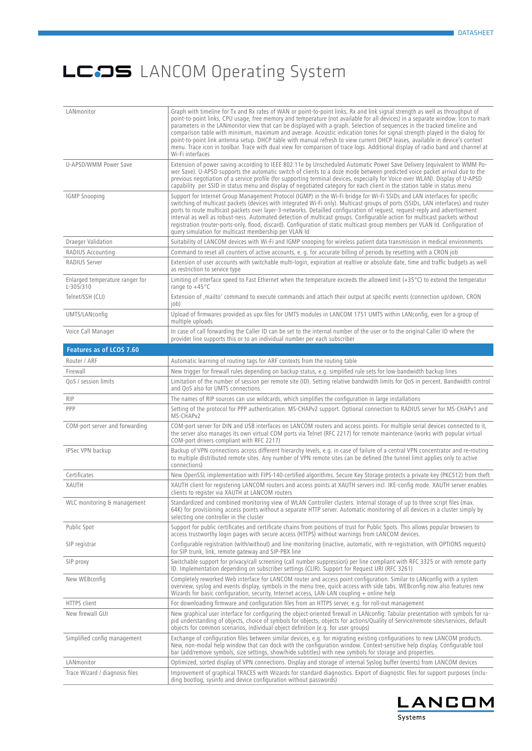| LANmonitor                                     | Graph with timeline for Tx and Rx rates of WAN or point-to-point links, Rx and link signal strength as well as throughput of<br>point-to-point links, CPU usage, free memory and temperature (not available for all devices) in a separate window. Icon to mark<br>parameters in the LANmonitor view that can be displayed with a graph. Selection of sequences in the tracked timeline and<br>comparison table with minimum, maximum and average. Acoustic indication tones for signal strength played in the dialog for<br>point-to-point link antenna setup. DHCP table with manual refresh to view current DHCP leases, available in device's context<br>menu. Trace icon in toolbar. Trace with dual view for comparison of trace logs. Additional display of radio band and channel at<br>Wi-Fi interfaces |
|------------------------------------------------|------------------------------------------------------------------------------------------------------------------------------------------------------------------------------------------------------------------------------------------------------------------------------------------------------------------------------------------------------------------------------------------------------------------------------------------------------------------------------------------------------------------------------------------------------------------------------------------------------------------------------------------------------------------------------------------------------------------------------------------------------------------------------------------------------------------|
| U-APSD/WMM Power Save                          | Extension of power saving according to IEEE 802.11e by Unscheduled Automatic Power Save Delivery (equivalent to WMM Po-<br>wer Save). U-APSD supports the automatic switch of clients to a doze mode between predicted voice packet arrival due to the<br>previous negotiation of a service profile (for supporting terminal devices, especially for Voice over WLAN). Display of U-APSD<br>capability per SSID in status menu and display of negotiated category for each client in the station table in status menu                                                                                                                                                                                                                                                                                            |
| <b>IGMP Snooping</b>                           | Support for Internet Group Management Protocol (IGMP) in the Wi-Fi bridge for Wi-Fi SSIDs and LAN interfaces for specific<br>switching of multicast packets (devices with integrated Wi-Fi only). Multicast groups of ports (SSIDs, LAN interfaces) and router<br>ports to route multicast packets over layer-3-networks. Detailled configuration of request, request-reply and advertisement<br>interval as well as robust-ness. Automated detection of multicast groups. Configurable action for multicast packets without<br>registration (router-ports-only, flood, discard). Configuration of static multicast group members per VLAN Id. Configuration of<br>query simulation for multicast membership per VLAN Id                                                                                         |
| <b>Draeger Validation</b>                      | Suitability of LANCOM devices with Wi-Fi and IGMP snooping for wireless patient data transmission in medical environments                                                                                                                                                                                                                                                                                                                                                                                                                                                                                                                                                                                                                                                                                        |
| RADIUS Accounting                              | Command to reset all counters of active accounts, e. g. for accurate billing of periods by resetting with a CRON job                                                                                                                                                                                                                                                                                                                                                                                                                                                                                                                                                                                                                                                                                             |
| RADIUS Server                                  | Extension of user accounts with switchable multi-login, expiration at realtive or absolute date, time and traffic budgets as well<br>as restriction to service type                                                                                                                                                                                                                                                                                                                                                                                                                                                                                                                                                                                                                                              |
| Enlarged temperature ranger for<br>$L-305/310$ | Limiting of interface speed to Fast Ethernet when the temperature exceeds the allowed limit (+35°C) to extend the temperatur<br>range to +45°C                                                                                                                                                                                                                                                                                                                                                                                                                                                                                                                                                                                                                                                                   |
| Telnet/SSH (CLI)                               | Extension of , mailto' command to execute commands and attach their output at specific events (connection up/down, CRON<br>job)                                                                                                                                                                                                                                                                                                                                                                                                                                                                                                                                                                                                                                                                                  |
| UMTS/LANconfig                                 | Upload of firmwares provided as upx files for UMTS modules in LANCOM 1751 UMTS within LANconfig, even for a group of<br>multiple uploads                                                                                                                                                                                                                                                                                                                                                                                                                                                                                                                                                                                                                                                                         |
| Voice Call Manager                             | In case of call forwarding the Caller ID can be set to the internal number of the user or to the original Caller ID where the<br>provider line supports this or to an individual number per each subscriber                                                                                                                                                                                                                                                                                                                                                                                                                                                                                                                                                                                                      |
| Features as of LCOS 7.60                       |                                                                                                                                                                                                                                                                                                                                                                                                                                                                                                                                                                                                                                                                                                                                                                                                                  |
| Router / ARF                                   | Automatic learning of routing tags for ARF contexts from the routing table                                                                                                                                                                                                                                                                                                                                                                                                                                                                                                                                                                                                                                                                                                                                       |
| Firewall                                       | New trigger for firewall rules depending on backup status, e.g. simplified rule sets for low-bandwidth backup lines                                                                                                                                                                                                                                                                                                                                                                                                                                                                                                                                                                                                                                                                                              |
| QoS / session limits                           | Limitation of the number of session per remote site (ID). Setting relative bandwidth limits for QoS in percent. Bandwidth control<br>and QoS also for UMTS connections                                                                                                                                                                                                                                                                                                                                                                                                                                                                                                                                                                                                                                           |
| <b>RIP</b>                                     | The names of RIP sources can use wildcards, which simplifies the configuration in large installations                                                                                                                                                                                                                                                                                                                                                                                                                                                                                                                                                                                                                                                                                                            |
| PPP                                            | Setting of the protocol for PPP authentication. MS-CHAPv2 support. Optional connection to RADIUS server for MS-CHAPv1 and<br>MS-CHAPv2                                                                                                                                                                                                                                                                                                                                                                                                                                                                                                                                                                                                                                                                           |
| COM-port server and forwarding                 | COM-port server for DIN and USB interfaces on LANCOM routers and access points. For multiple serial devices connected to it,<br>the server also manages its own virtual COM ports via Telnet (RFC 2217) for remote maintenance (works with popular virtual<br>COM-port drivers compliant with RFC 2217)                                                                                                                                                                                                                                                                                                                                                                                                                                                                                                          |
| IPSec VPN backup                               | Backup of VPN connections across different hierarchy levels, e.g. in case of failure of a central VPN concentrator and re-routing<br>to multiple distributed remote sites. Any number of VPN remote sites can be defined (the tunnel limit applies only to active<br>connections)                                                                                                                                                                                                                                                                                                                                                                                                                                                                                                                                |
| Certificates                                   | New OpenSSL implementation with FIPS-140-certified algorithms. Secure Key Storage protects a private key (PKCS12) from theft                                                                                                                                                                                                                                                                                                                                                                                                                                                                                                                                                                                                                                                                                     |
| XAUTH                                          | XAUTH client for registering LANCOM routers and access points at XAUTH servers incl. IKE-config mode. XAUTH server enables<br>clients to register via XAUTH at LANCOM routers                                                                                                                                                                                                                                                                                                                                                                                                                                                                                                                                                                                                                                    |
| WLC monitoring & management                    | Standardized and combined monitoring view of WLAN Controller clusters. Internal storage of up to three script files (max.<br>64K) for provisioning access points without a separate HTTP server. Automatic monitoring of all devices in a cluster simply by<br>selecting one controller in the cluster                                                                                                                                                                                                                                                                                                                                                                                                                                                                                                           |
| Public Spot                                    | Support for public certificates and certificate chains from positions of trust for Public Spots. This allows popular browsers to<br>access trustworthy login pages with secure access (HTTPS) without warnings from LANCOM devices.                                                                                                                                                                                                                                                                                                                                                                                                                                                                                                                                                                              |
| SIP registrar                                  | Configurable registration (with/without) and line monitoring (inactive, automatic, with re-registration, with OPTIONS reguests)<br>for SIP trunk, link, remote gateway and SIP-PBX line                                                                                                                                                                                                                                                                                                                                                                                                                                                                                                                                                                                                                          |
| SIP proxy                                      | Switchable support for privacy/call screening (call number suppression) per line compliant with RFC 3325 or with remote party<br>ID. Implementation depending on subscriber settings (CLIR). Support for Request URI (RFC 3261)                                                                                                                                                                                                                                                                                                                                                                                                                                                                                                                                                                                  |
| New WEBconfig                                  | Completely reworked Web interface for LANCOM router and access point configuration. Similar to LANconfig with a system<br>overview, syslog and events display, symbols in the menu tree, quick access with side tabs. WEBconfig now also features new<br>Wizards for basic configuration, security, Internet access, LAN-LAN coupling + online help                                                                                                                                                                                                                                                                                                                                                                                                                                                              |
| <b>HTTPS</b> client                            | For downloading firmware and configuration files from an HTTPS server, e.g. for roll-out management                                                                                                                                                                                                                                                                                                                                                                                                                                                                                                                                                                                                                                                                                                              |
| New firewall GUI                               | New graphical user interface for configuring the object-oriented firewall in LANconfig: Tabular presentation with symbols for ra-<br>pid understanding of objects, choice of symbols for objects, objects for actions/Quality of Service/remote sites/services, default<br>objects for common scenarios, individual object definition (e.g. for user groups)                                                                                                                                                                                                                                                                                                                                                                                                                                                     |
| Simplified config management                   | Exchange of configuration files between similar devices, e.g. for migrating existing configurations to new LANCOM products.<br>New, non-modal help window that can dock with the configuration window. Context-sensitive help display. Configurable tool<br>bar (add/remove symbols, size settings, show/hide subtitles) with new symbols for storage and properties.                                                                                                                                                                                                                                                                                                                                                                                                                                            |
| LANmonitor                                     | Optimized, sorted display of VPN connections. Display and storage of internal Syslog buffer (events) from LANCOM devices                                                                                                                                                                                                                                                                                                                                                                                                                                                                                                                                                                                                                                                                                         |
| Trace Wizard / diagnosis files                 | Improvement of graphical TRACES with Wizards for standard diagnostics. Export of diagnostic files for support purposes (inclu-<br>ding bootlog, sysinfo and device configuration without passwords)                                                                                                                                                                                                                                                                                                                                                                                                                                                                                                                                                                                                              |

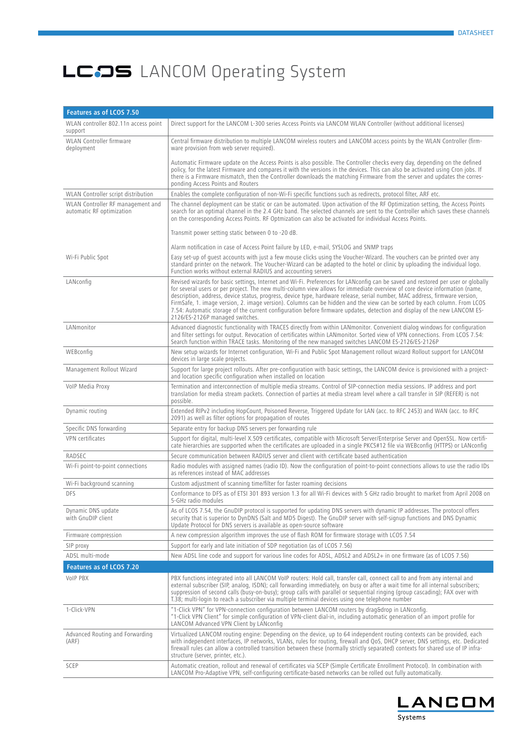| Features as of LCOS 7.50                                       |                                                                                                                                                                                                                                                                                                                                                                                                                                                                                                                                                                                                                                                                                             |
|----------------------------------------------------------------|---------------------------------------------------------------------------------------------------------------------------------------------------------------------------------------------------------------------------------------------------------------------------------------------------------------------------------------------------------------------------------------------------------------------------------------------------------------------------------------------------------------------------------------------------------------------------------------------------------------------------------------------------------------------------------------------|
| WLAN controller 802.11n access point<br>support                | Direct support for the LANCOM L-300 series Access Points via LANCOM WLAN Controller (without additional licenses)                                                                                                                                                                                                                                                                                                                                                                                                                                                                                                                                                                           |
| WLAN Controller firmware<br>deployment                         | Central firmware distribution to multiple LANCOM wireless routers and LANCOM access points by the WLAN Controller (firm-<br>ware provision from web server required).                                                                                                                                                                                                                                                                                                                                                                                                                                                                                                                       |
|                                                                | Automatic Firmware update on the Access Points is also possible. The Controller checks every day, depending on the defined<br>policy, for the latest Firmware and compares it with the versions in the devices. This can also be activated using Cron jobs. If<br>there is a Firmware mismatch, then the Controller downloads the matching Firmware from the server and updates the corres-<br>ponding Access Points and Routers                                                                                                                                                                                                                                                            |
| WLAN Controller script distribution                            | Enables the complete configuration of non-Wi-Fi specific functions such as redirects, protocol filter, ARF etc.                                                                                                                                                                                                                                                                                                                                                                                                                                                                                                                                                                             |
| WLAN Controller RF management and<br>automatic RF optimization | The channel deployment can be static or can be automated. Upon activation of the RF Optimization setting, the Access Points<br>search for an optimal channel in the 2.4 GHz band. The selected channels are sent to the Controller which saves these channels<br>on the corresponding Access Points. RF Optmization can also be activated for individual Access Points.                                                                                                                                                                                                                                                                                                                     |
|                                                                | Transmit power setting static between 0 to -20 dB.                                                                                                                                                                                                                                                                                                                                                                                                                                                                                                                                                                                                                                          |
|                                                                | Alarm notification in case of Access Point failure by LED, e-mail, SYSLOG and SNMP traps                                                                                                                                                                                                                                                                                                                                                                                                                                                                                                                                                                                                    |
| Wi-Fi Public Spot                                              | Easy set-up of quest accounts with just a few mouse clicks using the Voucher-Wizard. The vouchers can be printed over any<br>standard printer on the network. The Voucher-Wizard can be adapted to the hotel or clinic by uploading the individual logo.<br>Function works without external RADIUS and accounting servers                                                                                                                                                                                                                                                                                                                                                                   |
| LANconfig                                                      | Revised wizards for basic settings, Internet and Wi-Fi. Preferences for LANconfig can be saved and restored per user or globally<br>for several users or per project. The new multi-column view allows for immediate overview of core device information (name,<br>description, address, device status, progress, device type, hardware release, serial number, MAC address, firmware version,<br>FirmSafe, 1. image version, 2. image version). Columns can be hidden and the view can be sorted by each column. From LCOS<br>7.54: Automatic storage of the current configuration before firmware updates, detection and display of the new LANCOM ES-<br>2126/ES-2126P managed switches. |
| LANmonitor                                                     | Advanced diagnostic functionality with TRACES directly from within LANmonitor. Convenient dialog windows for configuration<br>and filter settings for output. Revocation of certificates within LANmonitor. Sorted view of VPN connections. From LCOS 7.54:<br>Search function within TRACE tasks. Monitoring of the new managed switches LANCOM ES-2126/ES-2126P                                                                                                                                                                                                                                                                                                                           |
| WEBconfig                                                      | New setup wizards for Internet configuration, Wi-Fi and Public Spot Management rollout wizard Rollout support for LANCOM<br>devices in large scale projects.                                                                                                                                                                                                                                                                                                                                                                                                                                                                                                                                |
| Management Rollout Wizard                                      | Support for large project rollouts. After pre-configuration with basic settings, the LANCOM device is provisioned with a project-<br>and location specific configuration when installed on location                                                                                                                                                                                                                                                                                                                                                                                                                                                                                         |
| VoIP Media Proxy                                               | Termination and interconnection of multiple media streams. Control of SIP-connection media sessions. IP address and port<br>translation for media stream packets. Connection of parties at media stream level where a call transfer in SIP (REFER) is not<br>possible.                                                                                                                                                                                                                                                                                                                                                                                                                      |
| Dynamic routing                                                | Extended RIPv2 including HopCount, Poisoned Reverse, Triggered Update for LAN (acc. to RFC 2453) and WAN (acc. to RFC<br>2091) as well as filter options for propagation of routes                                                                                                                                                                                                                                                                                                                                                                                                                                                                                                          |
| Specific DNS forwarding                                        | Separate entry for backup DNS servers per forwarding rule                                                                                                                                                                                                                                                                                                                                                                                                                                                                                                                                                                                                                                   |
| VPN certificates                                               | Support for digital, multi-level X.509 certificates, compatible with Microsoft Server/Enterprise Server and OpenSSL. Now certifi-<br>cate hierarchies are supported when the certificates are uploaded in a single PKCS#12 file via WEBconfiq (HTTPS) or LANconfig                                                                                                                                                                                                                                                                                                                                                                                                                          |
| RADSEC                                                         | Secure communication between RADIUS server and client with certificate based authentication                                                                                                                                                                                                                                                                                                                                                                                                                                                                                                                                                                                                 |
| Wi-Fi point-to-point connections                               | Radio modules with assigned names (radio ID). Now the configuration of point-to-point connections allows to use the radio IDs<br>as references instead of MAC addresses                                                                                                                                                                                                                                                                                                                                                                                                                                                                                                                     |
| Wi-Fi background scanning                                      | Custom adjustment of scanning time/filter for faster roaming decisions                                                                                                                                                                                                                                                                                                                                                                                                                                                                                                                                                                                                                      |
| <b>DFS</b>                                                     | Conformance to DFS as of ETSI 301 893 version 1.3 for all Wi-Fi devices with 5 GHz radio brought to market from April 2008 on<br>5-GHz radio modules                                                                                                                                                                                                                                                                                                                                                                                                                                                                                                                                        |
| Dynamic DNS update<br>with GnuDIP client                       | As of LCOS 7.54, the GnuDIP protocol is supported for updating DNS servers with dynamic IP addresses. The protocol offers<br>security that is superior to DynDNS (Salt and MD5 Digest). The GnuDIP server with self-signup functions and DNS Dynamic<br>Update Protocol for DNS servers is available as open-source software                                                                                                                                                                                                                                                                                                                                                                |
| Firmware compression                                           | A new compression algorithm improves the use of flash ROM for firmware storage with LCOS 7.54                                                                                                                                                                                                                                                                                                                                                                                                                                                                                                                                                                                               |
| SIP proxy                                                      | Support for early and late initiation of SDP negotiation (as of LCOS 7.56)                                                                                                                                                                                                                                                                                                                                                                                                                                                                                                                                                                                                                  |
| ADSL multi-mode                                                | New ADSL line code and support for various line codes for ADSL, ADSL2 and ADSL2+ in one firmware (as of LCOS 7.56)                                                                                                                                                                                                                                                                                                                                                                                                                                                                                                                                                                          |
| Features as of LCOS 7.20                                       |                                                                                                                                                                                                                                                                                                                                                                                                                                                                                                                                                                                                                                                                                             |
| <b>VoIP PBX</b>                                                | PBX functions integrated into all LANCOM VoIP routers: Hold call, transfer call, connect call to and from any internal and<br>external subscriber (SIP, analog, ISDN); call forwarding immediately, on busy or after a wait time for all internal subscribers;<br>suppression of second calls (busy-on-busy); group calls with parallel or sequential ringing (group cascading); FAX over with<br>T.38; multi-login to reach a subscriber via multiple terminal devices using one telephone number                                                                                                                                                                                          |
| 1-Click-VPN                                                    | "1-Click VPN" for VPN-connection configuration between LANCOM routers by drag&drop in LANconfig.<br>"1-Click VPN Client" for simple configuration of VPN-client dial-in, including automatic generation of an import profile for<br>LANCOM Advanced VPN Client by LANconfig                                                                                                                                                                                                                                                                                                                                                                                                                 |
| Advanced Routing and Forwarding<br>(ARF)                       | Virtualized LANCOM routing engine: Depending on the device, up to 64 independent routing contexts can be provided, each<br>with independent interfaces, IP networks, VLANs, rules for routing, firewall and QoS, DHCP server, DNS settings, etc. Dedicated<br>firewall rules can allow a controlled transition between these (normally strictly separated) contexts for shared use of IP infra-<br>structure (server, printer, etc.).                                                                                                                                                                                                                                                       |
| SCEP                                                           | Automatic creation, rollout and renewal of certificates via SCEP (Simple Certificate Enrollment Protocol). In combination with<br>LANCOM Pro-Adaptive VPN, self-configuring certificate-based networks can be rolled out fully automatically.                                                                                                                                                                                                                                                                                                                                                                                                                                               |

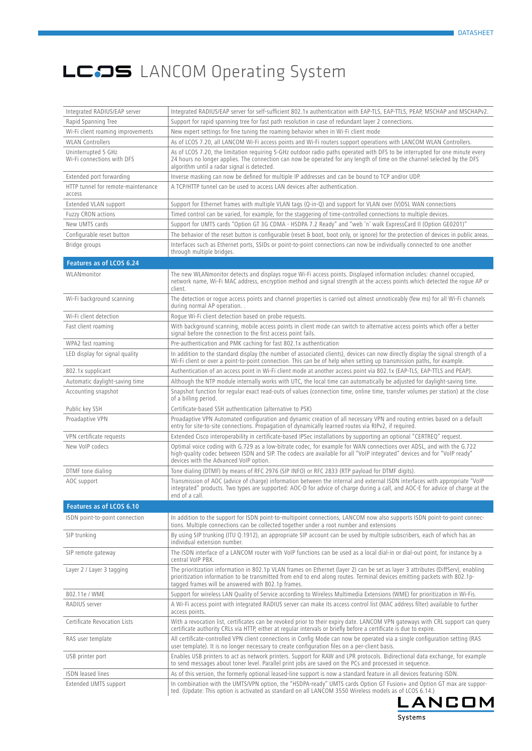| Integrated RADIUS/EAP server       | Integrated RADIUS/EAP server for self-sufficient 802.1x authentication with EAP-TLS, EAP-TTLS, PEAP, MSCHAP and MSCHAPv2.                                                                                                                                                                                           |
|------------------------------------|---------------------------------------------------------------------------------------------------------------------------------------------------------------------------------------------------------------------------------------------------------------------------------------------------------------------|
| Rapid Spanning Tree                | Support for rapid spanning tree for fast path resolution in case of redundant layer 2 connections.                                                                                                                                                                                                                  |
| Wi-Fi client roaming improvements  | New expert settings for fine tuning the roaming behavior when in Wi-Fi client mode                                                                                                                                                                                                                                  |
| <b>WLAN Controllers</b>            | As of LCOS 7.20, all LANCOM Wi-Fi access points and Wi-Fi routers support operations with LANCOM WLAN Controllers.                                                                                                                                                                                                  |
| Uninterrupted 5 GHz                | As of LCOS 7.20, the limitation requiring 5-GHz outdoor radio paths operated with DFS to be interrupted for one minute every                                                                                                                                                                                        |
| Wi-Fi connections with DFS         | 24 hours no longer applies. The connection can now be operated for any length of time on the channel selected by the DFS<br>algorithm until a radar signal is detected.                                                                                                                                             |
| Extended port forwarding           | Inverse masking can now be defined for multiple IP addresses and can be bound to TCP and/or UDP.                                                                                                                                                                                                                    |
| HTTP tunnel for remote-maintenance | A TCP/HTTP tunnel can be used to access LAN devices after authentication.                                                                                                                                                                                                                                           |
| access                             |                                                                                                                                                                                                                                                                                                                     |
| Extended VLAN support              | Support for Ethernet frames with multiple VLAN tags (Q-in-Q) and support for VLAN over (V)DSL WAN connections                                                                                                                                                                                                       |
| Fuzzy CRON actions                 | Timed control can be varied, for example, for the staggering of time-controlled connections to multiple devices.                                                                                                                                                                                                    |
| New UMTS cards                     | Support for UMTS cards "Option GT 3G CDMA - HSDPA 7.2 Ready" and "web 'n' walk ExpressCard II (Option GE0201)"                                                                                                                                                                                                      |
| Configurable reset button          | The behavior of the reset button is configurable (reset & boot, boot only, or ignore) for the protection of devices in public areas.                                                                                                                                                                                |
| Bridge groups                      | Interfaces such as Ethernet ports, SSIDs or point-to-point connections can now be individually connected to one another<br>through multiple bridges.                                                                                                                                                                |
| Features as of LCOS 6.24           |                                                                                                                                                                                                                                                                                                                     |
| WLANmonitor                        | The new WLANmonitor detects and displays roque Wi-Fi access points. Displayed information includes: channel occupied,<br>network name, Wi-Fi MAC address, encryption method and signal strength at the access points which detected the rogue AP or<br>client.                                                      |
| Wi-Fi background scanning          | The detection or roque access points and channel properties is carried out almost unnoticeably (few ms) for all Wi-Fi channels<br>during normal AP operation                                                                                                                                                        |
| Wi-Fi client detection             | Roque Wi-Fi client detection based on probe requests.                                                                                                                                                                                                                                                               |
| Fast client roaming                | With background scanning, mobile access points in client mode can switch to alternative access points which offer a better<br>signal before the connection to the first access point fails.                                                                                                                         |
| WPA2 fast roaming                  | Pre-authentication and PMK caching for fast 802.1x authentication                                                                                                                                                                                                                                                   |
| LED display for signal quality     | In addition to the standard display (the number of associated clients), devices can now directly display the signal strength of a<br>Wi-Fi client or over a point-to-point connection. This can be of help when setting up transmission paths, for example.                                                         |
| 802.1x supplicant                  | Authentication of an access point in Wi-Fi client mode at another access point via 802.1x (EAP-TLS, EAP-TTLS and PEAP).                                                                                                                                                                                             |
| Automatic daylight-saving time     | Although the NTP module internally works with UTC, the local time can automatically be adjusted for daylight-saving time.                                                                                                                                                                                           |
| Accounting snapshot                | Snapshot function for regular exact read-outs of values (connection time, online time, transfer volumes per station) at the close<br>of a billing period.                                                                                                                                                           |
| Public key SSH                     | Certificate-based SSH authentication (alternative to PSK)                                                                                                                                                                                                                                                           |
| Proadaptive VPN                    | Proadaptive VPN Automated configuration and dynamic creation of all necessary VPN and routing entries based on a default<br>entry for site-to-site connections. Propagation of dynamically learned routes via RIPv2, if required.                                                                                   |
| VPN certificate requests           | Extended Cisco interoperability in certificate-based IPSec installations by supporting an optional "CERTREQ" request.                                                                                                                                                                                               |
| New VoIP codecs                    | Optimal voice coding with G.729 as a low-bitrate codec, for example for WAN connections over ADSL, and with the G.722<br>high-quality codec between ISDN and SIP. The codecs are available for all "VoIP integrated" devices and for "VoIP ready"<br>devices with the Advanced VoIP option.                         |
| DTMF tone dialing                  | Tone dialing (DTMF) by means of RFC 2976 (SIP INFO) or RFC 2833 (RTP payload for DTMF digits).                                                                                                                                                                                                                      |
| AOC support                        | Transmission of AOC (advice of charge) information between the internal and external ISDN interfaces with appropriate "VoIP<br>integrated" products. Two types are supported: AOC-D for advice of charge during a call, and AOC-E for advice of charge at the<br>end of a call.                                     |
| Features as of LCOS 6.10           |                                                                                                                                                                                                                                                                                                                     |
| ISDN point-to-point connection     | In addition to the support for ISDN point-to-multipoint connections, LANCOM now also supports ISDN point-to-point connec-<br>tions. Multiple connections can be collected together under a root number and extensions                                                                                               |
| SIP trunking                       | By using SIP trunking (ITU Q.1912), an appropriate SIP account can be used by multiple subscribers, each of which has an<br>individual extension number.                                                                                                                                                            |
| SIP remote gateway                 | The ISDN interface of a LANCOM router with VoIP functions can be used as a local dial-in or dial-out point, for instance by a<br>central VoIP PBX.                                                                                                                                                                  |
| Layer 2 / Layer 3 tagging          | The prioritization information in 802.1p VLAN frames on Ethernet (layer 2) can be set as layer 3 attributes (DiffServ), enabling<br>prioritization information to be transmitted from end to end along routes. Terminal devices emitting packets with 802.1p-<br>tagged frames will be answered with 802.1p frames. |
| 802.11e / WME                      | Support for wireless LAN Quality of Service according to Wireless Multimedia Extensions (WME) for prioritization in Wi-Fis.                                                                                                                                                                                         |
| RADIUS server                      | A Wi-Fi access point with integrated RADIUS server can make its access control list (MAC address filter) available to further<br>access points.                                                                                                                                                                     |
| Certificate Revocation Lists       | With a revocation list, certificates can be revoked prior to their expiry date. LANCOM VPN gateways with CRL support can query<br>certificate authority CRLs via HTTP, either at regular intervals or briefly before a certificate is due to expire.                                                                |
| RAS user template                  | All certificate-controlled VPN client connections in Config Mode can now be operated via a single configuration setting (RAS<br>user template). It is no longer necessary to create configuration files on a per-client basis.                                                                                      |
| USB printer port                   | Enables USB printers to act as network printers. Support for RAW and LPR protocols. Bidirectional data exchange, for example<br>to send messages about toner level. Parallel print jobs are saved on the PCs and processed in sequence.                                                                             |
| <b>ISDN</b> leased lines           | As of this version, the formerly optional leased-line support is now a standard feature in all devices featuring ISDN.                                                                                                                                                                                              |
| Extended UMTS support              | In combination with the UMTS/VPN option, the "HSDPA-ready" UMTS cards Option GT Fusion+ and Option GT max are suppor-<br>ted. (Update: This option is activated as standard on all LANCOM 3550 Wireless models as of LCOS 6.14.)                                                                                    |

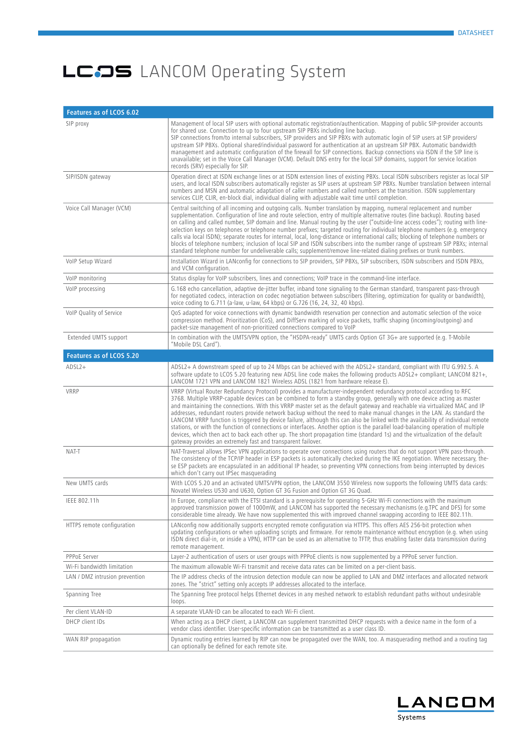| Features as of LCOS 6.02       |                                                                                                                                                                                                                                                                                                                                                                                                                                                                                                                                                                                                                                                                                                                                                                                                                                                                                                                                                                                 |
|--------------------------------|---------------------------------------------------------------------------------------------------------------------------------------------------------------------------------------------------------------------------------------------------------------------------------------------------------------------------------------------------------------------------------------------------------------------------------------------------------------------------------------------------------------------------------------------------------------------------------------------------------------------------------------------------------------------------------------------------------------------------------------------------------------------------------------------------------------------------------------------------------------------------------------------------------------------------------------------------------------------------------|
| SIP proxy                      | Management of local SIP users with optional automatic registration/authentication. Mapping of public SIP-provider accounts<br>for shared use. Connection to up to four upstream SIP PBXs including line backup.<br>SIP connections from/to internal subscribers, SIP providers and SIP PBXs with automatic login of SIP users at SIP providers/<br>upstream SIP PBXs. Optional shared/individual password for authentication at an upstream SIP PBX. Automatic bandwidth<br>management and automatic configuration of the firewall for SIP connections. Backup connections via ISDN if the SIP line is<br>unavailable; set in the Voice Call Manager (VCM). Default DNS entry for the local SIP domains, support for service location<br>records (SRV) especially for SIP.                                                                                                                                                                                                      |
| SIP/ISDN gateway               | Operation direct at ISDN exchange lines or at ISDN extension lines of existing PBXs. Local ISDN subscribers register as local SIP<br>users, and local ISDN subscribers automatically register as SIP users at upstream SIP PBXs. Number translation between internal<br>numbers and MSN and automatic adaptation of caller numbers and called numbers at the transition. ISDN supplementary<br>services CLIP, CLIR, en-block dial, individual dialing with adjustable wait time until completion.                                                                                                                                                                                                                                                                                                                                                                                                                                                                               |
| Voice Call Manager (VCM)       | Central switching of all incoming and outgoing calls. Number translation by mapping, numeral replacement and number<br>supplementation. Configuration of line and route selection, entry of multiple alternative routes (line backup). Routing based<br>on calling and called number, SIP domain and line. Manual routing by the user ("outside-line access codes"); routing with line-<br>selection keys on telephones or telephone number prefixes; targeted routing for individual telephone numbers (e.g. emergency<br>calls via local ISDN); separate routes for internal, local, long-distance or international calls; blocking of telephone numbers or<br>blocks of telephone numbers; inclusion of local SIP and ISDN subscribers into the number range of upstream SIP PBXs; internal<br>standard telephone number for undeliverable calls; supplement/remove line-related dialing prefixes or trunk numbers.                                                          |
| VolP Setup Wizard              | Installation Wizard in LANconfig for connections to SIP providers, SIP PBXs, SIP subscribers, ISDN subscribers and ISDN PBXs,<br>and VCM configuration.                                                                                                                                                                                                                                                                                                                                                                                                                                                                                                                                                                                                                                                                                                                                                                                                                         |
| VolP monitoring                | Status display for VoIP subscribers, lines and connections; VoIP trace in the command-line interface.                                                                                                                                                                                                                                                                                                                                                                                                                                                                                                                                                                                                                                                                                                                                                                                                                                                                           |
| VoIP processing                | G.168 echo cancellation, adaptive de-jitter buffer, inband tone signaling to the German standard, transparent pass-through<br>for negotiated codecs, interaction on codec negotiation between subscribers (filtering, optimization for quality or bandwidth),<br>voice coding to G.711 (a-law, u-law, 64 kbps) or G.726 (16, 24, 32, 40 kbps).                                                                                                                                                                                                                                                                                                                                                                                                                                                                                                                                                                                                                                  |
| VoIP Quality of Service        | QoS adapted for voice connections with dynamic bandwidth reservation per connection and automatic selection of the voice<br>compression method. Prioritization (CoS), and DiffServ marking of voice packets, traffic shaping (incoming/outgoing) and<br>packet-size management of non-prioritized connections compared to VoIP                                                                                                                                                                                                                                                                                                                                                                                                                                                                                                                                                                                                                                                  |
| Extended UMTS support          | In combination with the UMTS/VPN option, the "HSDPA-ready" UMTS cards Option GT 3G+ are supported (e.g. T-Mobile<br>"Mobile DSL Card").                                                                                                                                                                                                                                                                                                                                                                                                                                                                                                                                                                                                                                                                                                                                                                                                                                         |
| Features as of LCOS 5.20       |                                                                                                                                                                                                                                                                                                                                                                                                                                                                                                                                                                                                                                                                                                                                                                                                                                                                                                                                                                                 |
| $ADSL2+$                       | ADSL2+ A downstream speed of up to 24 Mbps can be achieved with the ADSL2+ standard, compliant with ITU G.992.5. A<br>software update to LCOS 5.20 featuring new ADSL line code makes the following products ADSL2+ compliant; LANCOM 821+,<br>LANCOM 1721 VPN and LANCOM 1821 Wireless ADSL (1821 from hardware release E).                                                                                                                                                                                                                                                                                                                                                                                                                                                                                                                                                                                                                                                    |
| VRRP                           | VRRP (Virtual Router Redundancy Protocol) provides a manufacturer-independent redundancy protocol according to RFC<br>3768. Multiple VRRP-capable devices can be combined to form a standby group, generally with one device acting as master<br>and maintaining the connections. With this VRRP master set as the default gateway and reachable via virtualized MAC and IP<br>addresses, redundant routers provide network backup without the need to make manual changes in the LAN. As standard the<br>LANCOM VRRP function is triggered by device failure, although this can also be linked with the availability of individual remote<br>stations, or with the function of connections or interfaces. Another option is the parallel load-balancing operation of multiple<br>devices, which then act to back each other up. The short propagation time (standard 1s) and the virtualization of the default<br>gateway provides an extremely fast and transparent failover. |
| NAT-T                          | NAT-Traversal allows IPSec VPN applications to operate over connections using routers that do not support VPN pass-through.<br>The consistency of the TCP/IP header in ESP packets is automatically checked during the IKE negotiation. Where necessary, the-<br>se ESP packets are encapsulated in an additional IP header, so preventing VPN connections from being interrupted by devices<br>which don't carry out IPSec masquerading                                                                                                                                                                                                                                                                                                                                                                                                                                                                                                                                        |
| New UMTS cards                 | With LCOS 5.20 and an activated UMTS/VPN option, the LANCOM 3550 Wireless now supports the following UMTS data cards:<br>Novatel Wireless U530 and U630, Option GT 3G Fusion and Option GT 3G Quad.                                                                                                                                                                                                                                                                                                                                                                                                                                                                                                                                                                                                                                                                                                                                                                             |
| IEEE 802.11h                   | In Europe, compliance with the ETSI standard is a prerequisite for operating 5-GHz Wi-Fi connections with the maximum<br>approved transmission power of 1000mW, and LANCOM has supported the necessary mechanisms (e.g.TPC and DFS) for some<br>considerable time already. We have now supplemented this with improved channel swapping according to IEEE 802.11h.                                                                                                                                                                                                                                                                                                                                                                                                                                                                                                                                                                                                              |
| HTTPS remote configuration     | LANconfig now additionally supports encrypted remote configuration via HTTPS. This offers AES 256-bit protection when<br>updating configurations or when uploading scripts and firmware. For remote maintenance without encryption (e.g. when using<br>ISDN direct dial-in, or inside a VPN), HTTP can be used as an alternative to TFTP, thus enabling faster data transmission during<br>remote management.                                                                                                                                                                                                                                                                                                                                                                                                                                                                                                                                                                   |
| PPPoE Server                   | Layer-2 authentication of users or user groups with PPPoE clients is now supplemented by a PPPoE server function.                                                                                                                                                                                                                                                                                                                                                                                                                                                                                                                                                                                                                                                                                                                                                                                                                                                               |
| Wi-Fi bandwidth limitation     | The maximum allowable Wi-Fi transmit and receive data rates can be limited on a per-client basis.                                                                                                                                                                                                                                                                                                                                                                                                                                                                                                                                                                                                                                                                                                                                                                                                                                                                               |
| LAN / DMZ intrusion prevention | The IP address checks of the intrusion detection module can now be applied to LAN and DMZ interfaces and allocated network<br>zones. The "strict" setting only accepts IP addresses allocated to the interface.                                                                                                                                                                                                                                                                                                                                                                                                                                                                                                                                                                                                                                                                                                                                                                 |
| Spanning Tree                  | The Spanning Tree protocol helps Ethernet devices in any meshed network to establish redundant paths without undesirable<br>loops.                                                                                                                                                                                                                                                                                                                                                                                                                                                                                                                                                                                                                                                                                                                                                                                                                                              |
| Per client VLAN-ID             | A separate VLAN-ID can be allocated to each Wi-Fi client.                                                                                                                                                                                                                                                                                                                                                                                                                                                                                                                                                                                                                                                                                                                                                                                                                                                                                                                       |
| DHCP client IDs                | When acting as a DHCP client, a LANCOM can supplement transmitted DHCP requests with a device name in the form of a<br>vendor class identifier. User-specific information can be transmitted as a user class ID.                                                                                                                                                                                                                                                                                                                                                                                                                                                                                                                                                                                                                                                                                                                                                                |
| WAN RIP propagation            | Dynamic routing entries learned by RIP can now be propagated over the WAN, too. A masquerading method and a routing tag<br>can optionally be defined for each remote site.                                                                                                                                                                                                                                                                                                                                                                                                                                                                                                                                                                                                                                                                                                                                                                                                      |

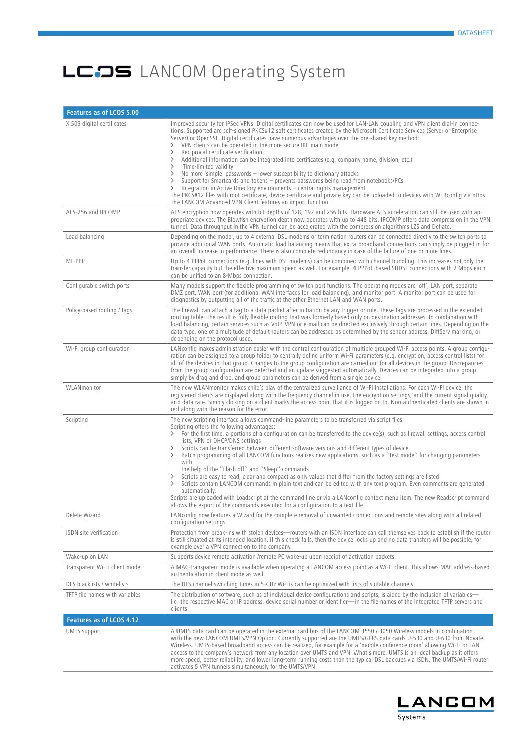| Features as of LCOS 5.00       |                                                                                                                                                                                                                                                                                                                                                                                                                                                                                                                                                                                                                                                                                                                                                                                                                                                                                                                                                                                                                                                                                                                |
|--------------------------------|----------------------------------------------------------------------------------------------------------------------------------------------------------------------------------------------------------------------------------------------------------------------------------------------------------------------------------------------------------------------------------------------------------------------------------------------------------------------------------------------------------------------------------------------------------------------------------------------------------------------------------------------------------------------------------------------------------------------------------------------------------------------------------------------------------------------------------------------------------------------------------------------------------------------------------------------------------------------------------------------------------------------------------------------------------------------------------------------------------------|
| X.509 digital certificates     | Improved security for IPSec VPNs: Digital certificates can now be used for LAN-LAN coupling and VPN client dial-in connec-<br>tions. Supported are self-signed PKCS#12 soft certificates created by the Microsoft Certificate Services (Server or Enterprise<br>Server) or OpenSSL. Digital certificates have numerous advantages over the pre-shared key method:<br>VPN clients can be operated in the more secure IKE main mode<br>≻<br>Reciprocal certificate verification<br>ゝ<br>Additional information can be integrated into certificates (e.g. company name, division, etc.)<br>ゝ<br>Time-limited validity<br>ゝ<br>No more 'simple' passwords - lower susceptibility to dictionary attacks<br>$\rightarrow$<br>ゝ<br>Support for Smartcards and tokens – prevents passwords being read from notebooks/PCs<br>Integration in Active Directory environments - central rights management<br>⋋<br>The PKCS#12 files with root certificate, device certificate and private key can be uploaded to devices with WEBconfig via https.<br>The LANCOM Advanced VPN Client features an import function.           |
| AES-256 and IPCOMP             | AES encryption now operates with bit depths of 128, 192 and 256 bits. Hardware AES acceleration can still be used with ap-<br>propriate devices. The Blowfish encryption depth now operates with up to 448 bits. IPCOMP offers data compression in the VPN<br>tunnel. Data throughput in the VPN tunnel can be accelerated with the compression algorithms LZS and Deflate.                                                                                                                                                                                                                                                                                                                                                                                                                                                                                                                                                                                                                                                                                                                                    |
| Load balancing                 | Depending on the model, up to 4 external DSL modems or termination routers can be connected directly to the switch ports to<br>provide additional WAN ports. Automatic load balancing means that extra broadband connections can simply be plugged in for<br>an overall increase in performance. There is also complete redundancy in case of the failure of one or more lines.                                                                                                                                                                                                                                                                                                                                                                                                                                                                                                                                                                                                                                                                                                                                |
| ML-PPP                         | Up to 4 PPPoE connections (e.g. lines with DSL modems) can be combined with channel bundling. This increases not only the<br>transfer capacity but the effective maximum speed as well. For example, 4 PPPoE-based SHDSL connections with 2 Mbps each<br>can be unified to an 8-Mbps connection.                                                                                                                                                                                                                                                                                                                                                                                                                                                                                                                                                                                                                                                                                                                                                                                                               |
| Configurable switch ports      | Many models support the flexible programming of switch port functions. The operating modes are 'off', LAN port, separate<br>DMZ port, WAN port (for additional WAN interfaces for load balancing), and monitor port. A monitor port can be used for<br>diagnostics by outputting all of the traffic at the other Ethernet LAN and WAN ports.                                                                                                                                                                                                                                                                                                                                                                                                                                                                                                                                                                                                                                                                                                                                                                   |
| Policy-based routing / tags    | The firewall can attach a tag to a data packet after initiation by any trigger or rule. These tags are processed in the extended<br>routing table. The result is fully flexible routing that was formerly based only on destination addresses. In combination with<br>load balancing, certain services such as VoIP, VPN or e-mail can be directed exclusively through certain lines. Depending on the<br>data type, one of a multitude of default routers can be addressed as determined by the sender address, DiffServ marking, or<br>depending on the protocol used.                                                                                                                                                                                                                                                                                                                                                                                                                                                                                                                                       |
| Wi-Fi group configuration      | LANconfig makes administration easier with the central configuration of multiple grouped Wi-Fi access points. A group configu-<br>ration can be assigned to a group folder to centrally define uniform Wi-Fi parameters (e.g. encryption, access control lists) for<br>all of the devices in that group. Changes to the group configuration are carried out for all devices in the group. Discrepancies<br>from the group configuration are detected and an update suggested automatically. Devices can be integrated into a group<br>simply by drag and drop, and group parameters can be derived from a single device.                                                                                                                                                                                                                                                                                                                                                                                                                                                                                       |
| WLANmonitor                    | The new WLANmonitor makes child's play of the centralized surveillance of Wi-Fi installations. For each Wi-Fi device, the<br>registered clients are displayed along with the freguency channel in use, the encryption settings, and the current signal quality,<br>and data rate. Simply clicking on a client marks the access point that it is logged on to. Non-authenticated clients are shown in<br>red along with the reason for the error.                                                                                                                                                                                                                                                                                                                                                                                                                                                                                                                                                                                                                                                               |
| Scripting                      | The new scripting interface allows command-line parameters to be transferred via script files.<br>Scripting offers the following advantages:<br>For the first time, a portions of a configuration can be transferred to the device(s), such as firewall settings, access control<br>≻<br>lists, VPN or DHCP/DNS settings<br>Scripts can be transferred between different software versions and different types of device<br>≻<br>Batch programming of all LANCOM functions realizes new applications, such as a "test mode" for changing parameters<br>ゝ<br>with<br>the help of the "Flash off" and "Sleep" commands<br>Scripts are easy to read, clear and compact as only values that differ from the factory settings are listed<br>Scripts contain LANCOM commands in plain text and can be edited with any text program. Even comments are generated<br>$\left. \right.$<br>automatically.<br>Scripts are uploaded with Loadscript at the command line or via a LANconfig context menu item. The new Readscript command<br>allows the export of the commands executed for a configuration to a text file. |
| Delete Wizard                  | LANconfig now features a Wizard for the complete removal of unwanted connections and remote sites along with all related<br>configuration settings.                                                                                                                                                                                                                                                                                                                                                                                                                                                                                                                                                                                                                                                                                                                                                                                                                                                                                                                                                            |
| ISDN site verification         | Protection from break-ins with stolen devices-couters with an ISDN interface can call themselves back to establish if the router<br>is still situated at its intended location. If this check fails, then the device locks up and no data transfers will be possible, for<br>example over a VPN connection to the company.                                                                                                                                                                                                                                                                                                                                                                                                                                                                                                                                                                                                                                                                                                                                                                                     |
| Wake-up on LAN                 | Supports device remote activation /remote PC wake-up upon receipt of activation packets.                                                                                                                                                                                                                                                                                                                                                                                                                                                                                                                                                                                                                                                                                                                                                                                                                                                                                                                                                                                                                       |
| Transparent Wi-Fi client mode  | A MAC-transparent mode is available when operating a LANCOM access point as a Wi-Fi client. This allows MAC address-based<br>authentication in client mode as well.                                                                                                                                                                                                                                                                                                                                                                                                                                                                                                                                                                                                                                                                                                                                                                                                                                                                                                                                            |
| DFS blacklists / whitelists    | The DFS channel switching times in 5-GHz Wi-Fis can be optimized with lists of suitable channels.                                                                                                                                                                                                                                                                                                                                                                                                                                                                                                                                                                                                                                                                                                                                                                                                                                                                                                                                                                                                              |
| TFTP file names with variables | The distribution of software, such as of individual device configurations and scripts, is aided by the inclusion of variables—<br>i.e. the respective MAC or IP address, device serial number or identifier-in the file names of the integrated TFTP servers and<br>clients.                                                                                                                                                                                                                                                                                                                                                                                                                                                                                                                                                                                                                                                                                                                                                                                                                                   |
| Features as of LCOS 4.12       |                                                                                                                                                                                                                                                                                                                                                                                                                                                                                                                                                                                                                                                                                                                                                                                                                                                                                                                                                                                                                                                                                                                |
| UMTS support                   | A UMTS data card can be operated in the external card bus of the LANCOM 3550 / 3050 Wireless models in combination<br>with the new LANCOM UMTS/VPN Option. Currently supported are the UMTS/GPRS data cards U-530 and U-630 from Novatel<br>Wireless. UMTS-based broadband access can be realized, for example for a 'mobile conference room' allowing Wi-Fi or LAN<br>access to the company's network from any location over UMTS and VPN. What's more, UMTS is an ideal backup as it offers<br>more speed, better reliability, and lower long-term running costs than the typical DSL backups via ISDN. The UMTS/Wi-Fi router<br>activates 5 VPN tunnels simultaneously for the UMTS/VPN.                                                                                                                                                                                                                                                                                                                                                                                                                    |

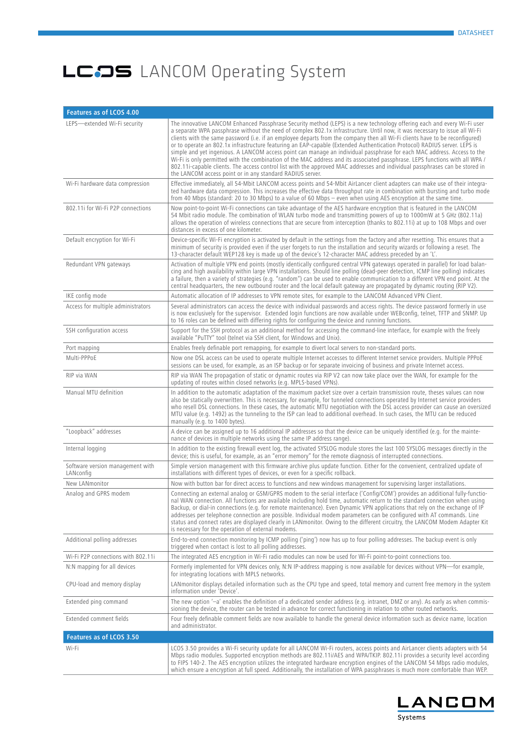| Features as of LCOS 4.00                      |                                                                                                                                                                                                                                                                                                                                                                                                                                                                                                                                                                                                                                                                                                                                                                                                                                                                                                                                                                            |
|-----------------------------------------------|----------------------------------------------------------------------------------------------------------------------------------------------------------------------------------------------------------------------------------------------------------------------------------------------------------------------------------------------------------------------------------------------------------------------------------------------------------------------------------------------------------------------------------------------------------------------------------------------------------------------------------------------------------------------------------------------------------------------------------------------------------------------------------------------------------------------------------------------------------------------------------------------------------------------------------------------------------------------------|
| LEPS-extended Wi-Fi security                  | The innovative LANCOM Enhanced Passphrase Security method (LEPS) is a new technology offering each and every Wi-Fi user<br>a separate WPA passphrase without the need of complex 802.1x infrastructure. Until now, it was necessary to issue all Wi-Fi<br>clients with the same password (i.e. if an employee departs from the company then all Wi-Fi clients have to be reconfigured)<br>or to operate an 802.1x infrastructure featuring an EAP-capable (Extended Authentication Protocol) RADIUS server. LEPS is<br>simple and yet ingenious. A LANCOM access point can manage an individual passphrase for each MAC address. Access to the<br>Wi-Fi is only permitted with the combination of the MAC address and its associated passphrase. LEPS functions with all WPA /<br>802.11 capable clients. The access control list with the approved MAC addresses and individual passphrases can be stored in<br>the LANCOM access point or in any standard RADIUS server. |
| Wi-Fi hardware data compression               | Effective immediately, all 54-Mbit LANCOM access points and 54-Mbit AirLancer client adapters can make use of their integra-<br>ted hardware data compression. This increases the effective data throughput rate in combination with bursting and turbo mode<br>from 40 Mbps (standard: 20 to 30 Mbps) to a value of 60 Mbps – even when using AES encryption at the same time.                                                                                                                                                                                                                                                                                                                                                                                                                                                                                                                                                                                            |
| 802.11i for Wi-Fi P2P connections             | Now point-to-point Wi-Fi connections can take advantage of the AES hardware encryption that is featured in the LANCOM<br>54 Mbit radio module. The combination of WLAN turbo mode and transmitting powers of up to 1000mW at 5 GHz (802.11a)<br>allows the operation of wireless connections that are secure from interception (thanks to 802.11i) at up to 108 Mbps and over<br>distances in excess of one kilometer.                                                                                                                                                                                                                                                                                                                                                                                                                                                                                                                                                     |
| Default encryption for Wi-Fi                  | Device-specific Wi-Fi encryption is activated by default in the settings from the factory and after resetting. This ensures that a<br>minimum of security is provided even if the user forgets to run the installation and security wizards or following a reset. The<br>13-character default WEP128 key is made up of the device's 12-character MAC address preceded by an 'L'.                                                                                                                                                                                                                                                                                                                                                                                                                                                                                                                                                                                           |
| Redundant VPN gateways                        | Activation of multiple VPN end points (mostly identically configured central VPN gateways operated in parallel) for load balan-<br>cing and high availability within large VPN installations. Should line polling (dead-peer detection, ICMP line polling) indicates<br>a failure, then a variety of strategies (e.g. "random") can be used to enable communication to a different VPN end point. At the<br>central headquarters, the new outbound router and the local default gateway are propagated by dynamic routing (RIP V2).                                                                                                                                                                                                                                                                                                                                                                                                                                        |
| IKE config mode                               | Automatic allocation of IP addresses to VPN remote sites, for example to the LANCOM Advanced VPN Client.                                                                                                                                                                                                                                                                                                                                                                                                                                                                                                                                                                                                                                                                                                                                                                                                                                                                   |
| Access for multiple administrators            | Several administrators can access the device with individual passwords and access rights. The device password formerly in use<br>is now exclusively for the supervisor. Extended login functions are now available under WEBconfig, telnet, TFTP and SNMP. Up<br>to 16 roles can be defined with differing rights for configuring the device and running functions.                                                                                                                                                                                                                                                                                                                                                                                                                                                                                                                                                                                                        |
| SSH configuration access                      | Support for the SSH protocol as an additional method for accessing the command-line interface, for example with the freely<br>available "PuTTY" tool (telnet via SSH client, for Windows and Unix).                                                                                                                                                                                                                                                                                                                                                                                                                                                                                                                                                                                                                                                                                                                                                                        |
| Port mapping                                  | Enables freely definable port remapping, for example to divert local servers to non-standard ports.                                                                                                                                                                                                                                                                                                                                                                                                                                                                                                                                                                                                                                                                                                                                                                                                                                                                        |
| Multi-PPPoE                                   | Now one DSL access can be used to operate multiple Internet accesses to different Internet service providers. Multiple PPPoE<br>sessions can be used, for example, as an ISP backup or for separate invoicing of business and private Internet access.                                                                                                                                                                                                                                                                                                                                                                                                                                                                                                                                                                                                                                                                                                                     |
| RIP via WAN                                   | RIP via WAN The propagation of static or dynamic routes via RIP V2 can now take place over the WAN, for example for the<br>updating of routes within closed networks (e.g. MPLS-based VPNs).                                                                                                                                                                                                                                                                                                                                                                                                                                                                                                                                                                                                                                                                                                                                                                               |
| Manual MTU definition                         | In addition to the automatic adaptation of the maximum packet size over a certain transmission route, theses values can now<br>also be statically overwritten. This is necessary, for example, for tunneled connections operated by Internet service providers<br>who resell DSL connections. In these cases, the automatic MTU negotiation with the DSL access provider can cause an oversized<br>MTU value (e.g. 1492) as the tunneling to the ISP can lead to additional overhead. In such cases, the MTU can be reduced<br>manually (e.g. to 1400 bytes).                                                                                                                                                                                                                                                                                                                                                                                                              |
| "Loopback" addresses                          | A device can be assigned up to 16 additional IP addresses so that the device can be uniquely identified (e.g. for the mainte-<br>nance of devices in multiple networks using the same IP address range).                                                                                                                                                                                                                                                                                                                                                                                                                                                                                                                                                                                                                                                                                                                                                                   |
| Internal logging                              | In addition to the existing firewall event log, the activated SYSLOG module stores the last 100 SYSLOG messages directly in the<br>device; this is useful, for example, as an "error memory" for the remote diagnosis of interrupted connections.                                                                                                                                                                                                                                                                                                                                                                                                                                                                                                                                                                                                                                                                                                                          |
| Software version management with<br>LANconfig | Simple version management with this firmware archive plus update function. Either for the convenient, centralized update of<br>installations with different types of devices, or even for a specific rollback.                                                                                                                                                                                                                                                                                                                                                                                                                                                                                                                                                                                                                                                                                                                                                             |
| New LANmonitor                                | Now with button bar for direct access to functions and new windows management for supervising larger installations.                                                                                                                                                                                                                                                                                                                                                                                                                                                                                                                                                                                                                                                                                                                                                                                                                                                        |
| Analog and GPRS modem                         | Connecting an external analog or GSM/GPRS modem to the serial interface ('Config/COM') provides an additional fully-functio-<br>nal WAN connection. All functions are available including hold time, automatic return to the standard connection when using<br>Backup, or dial-in connections (e.g. for remote maintenance). Even Dynamic VPN applications that rely on the exchange of IP<br>addresses per telephone connection are possible. Individual modem parameters can be configured with AT commands. Line<br>status and connect rates are displayed clearly in LANmonitor. Owing to the different circuitry, the LANCOM Modem Adapter Kit<br>is necessary for the operation of external modems.                                                                                                                                                                                                                                                                  |
| Additional polling addresses                  | End-to-end connection monitoring by ICMP polling ('ping') now has up to four polling addresses. The backup event is only<br>triggered when contact is lost to all polling addresses.                                                                                                                                                                                                                                                                                                                                                                                                                                                                                                                                                                                                                                                                                                                                                                                       |
| Wi-Fi P2P connections with 802.11i            | The integrated AES encryption in Wi-Fi radio modules can now be used for Wi-Fi point-to-point connections too.                                                                                                                                                                                                                                                                                                                                                                                                                                                                                                                                                                                                                                                                                                                                                                                                                                                             |
| N:N mapping for all devices                   | Formerly implemented for VPN devices only, N:N IP-address mapping is now available for devices without VPN-for example,<br>for integrating locations with MPLS networks.                                                                                                                                                                                                                                                                                                                                                                                                                                                                                                                                                                                                                                                                                                                                                                                                   |
| CPU-load and memory display                   | LANmonitor displays detailed information such as the CPU type and speed, total memory and current free memory in the system<br>information under 'Device'.                                                                                                                                                                                                                                                                                                                                                                                                                                                                                                                                                                                                                                                                                                                                                                                                                 |
| Extended ping command                         | The new option '-a' enables the definition of a dedicated sender address (e.g. intranet, DMZ or any). As early as when commis-<br>sioning the device, the router can be tested in advance for correct functioning in relation to other routed networks.                                                                                                                                                                                                                                                                                                                                                                                                                                                                                                                                                                                                                                                                                                                    |
| Extended comment fields                       | Four freely definable comment fields are now available to handle the general device information such as device name, location<br>and administrator.                                                                                                                                                                                                                                                                                                                                                                                                                                                                                                                                                                                                                                                                                                                                                                                                                        |
| Features as of LCOS 3.50                      |                                                                                                                                                                                                                                                                                                                                                                                                                                                                                                                                                                                                                                                                                                                                                                                                                                                                                                                                                                            |
| Wi-Fi                                         | LCOS 3.50 provides a Wi-Fi security update for all LANCOM Wi-Fi routers, access points and AirLancer clients adapters with 54<br>Mbps radio modules. Supported encryption methods are 802.11i/AES and WPA/TKIP. 802.11i provides a security level according<br>to FIPS 140-2. The AES encryption utilizes the integrated hardware encryption engines of the LANCOM 54 Mbps radio modules,<br>which ensure a encryption at full speed. Additionally, the installation of WPA passphrases is much more comfortable than WEP.                                                                                                                                                                                                                                                                                                                                                                                                                                                 |